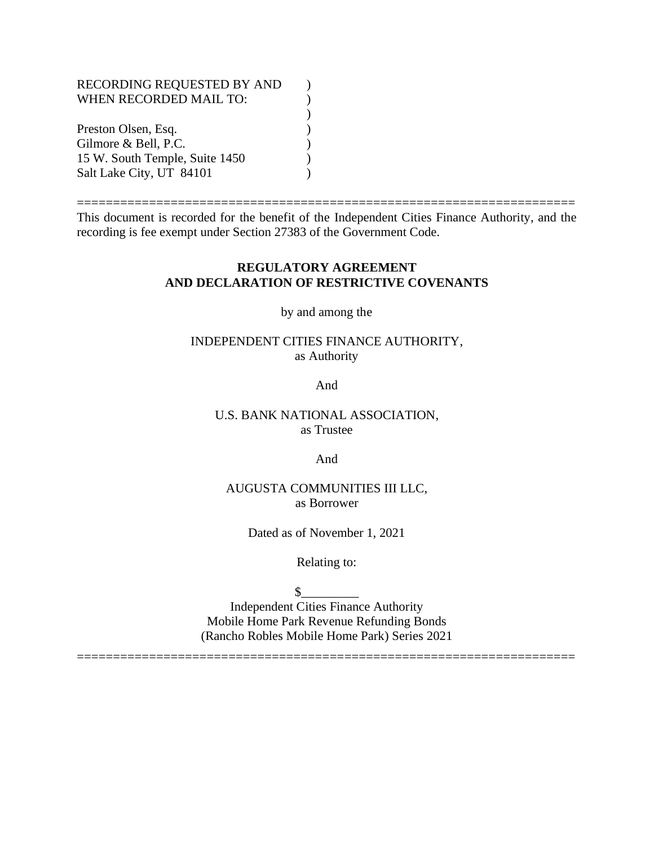### RECORDING REQUESTED BY AND  $( )$ WHEN RECORDED MAIL TO:  $)$ ) Preston Olsen, Esq. (1) Gilmore & Bell, P.C. 15 W. South Temple, Suite 1450 ) Salt Lake City, UT 84101 (1)

This document is recorded for the benefit of the Independent Cities Finance Authority, and the recording is fee exempt under Section 27383 of the Government Code.

=====================================================================

#### **REGULATORY AGREEMENT AND DECLARATION OF RESTRICTIVE COVENANTS**

by and among the

### INDEPENDENT CITIES FINANCE AUTHORITY, as Authority

And

#### U.S. BANK NATIONAL ASSOCIATION, as Trustee

And

#### AUGUSTA COMMUNITIES III LLC, as Borrower

Dated as of November 1, 2021

Relating to:

 $\sim$ 

Independent Cities Finance Authority Mobile Home Park Revenue Refunding Bonds (Rancho Robles Mobile Home Park) Series 2021

=====================================================================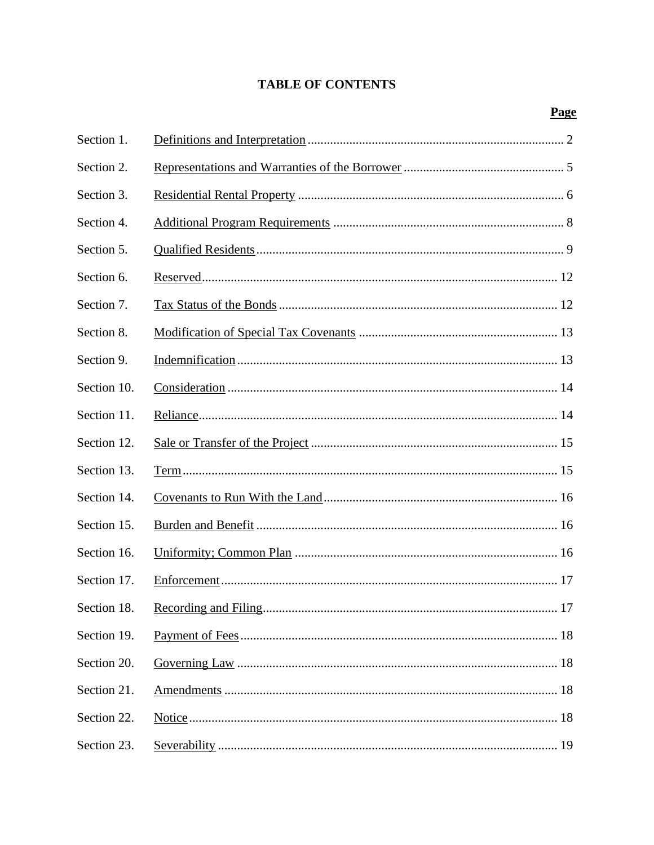# **TABLE OF CONTENTS**

| Section 1.  |  |
|-------------|--|
| Section 2.  |  |
| Section 3.  |  |
| Section 4.  |  |
| Section 5.  |  |
| Section 6.  |  |
| Section 7.  |  |
| Section 8.  |  |
| Section 9.  |  |
| Section 10. |  |
| Section 11. |  |
| Section 12. |  |
| Section 13. |  |
| Section 14. |  |
| Section 15. |  |
| Section 16. |  |
| Section 17. |  |
| Section 18. |  |
| Section 19. |  |
| Section 20. |  |
| Section 21. |  |
| Section 22. |  |
| Section 23. |  |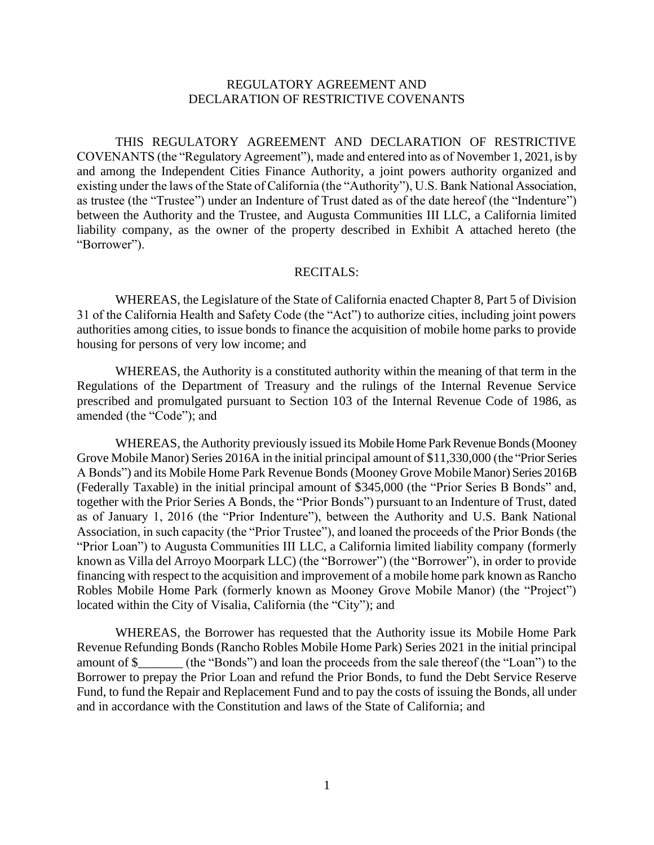#### REGULATORY AGREEMENT AND DECLARATION OF RESTRICTIVE COVENANTS

THIS REGULATORY AGREEMENT AND DECLARATION OF RESTRICTIVE COVENANTS (the "Regulatory Agreement"), made and entered into as of November 1, 2021, is by and among the Independent Cities Finance Authority, a joint powers authority organized and existing under the laws of the State of California (the "Authority"), U.S. Bank National Association, as trustee (the "Trustee") under an Indenture of Trust dated as of the date hereof (the "Indenture") between the Authority and the Trustee, and Augusta Communities III LLC, a California limited liability company, as the owner of the property described in Exhibit A attached hereto (the "Borrower").

#### RECITALS:

WHEREAS, the Legislature of the State of California enacted Chapter 8, Part 5 of Division 31 of the California Health and Safety Code (the "Act") to authorize cities, including joint powers authorities among cities, to issue bonds to finance the acquisition of mobile home parks to provide housing for persons of very low income; and

WHEREAS, the Authority is a constituted authority within the meaning of that term in the Regulations of the Department of Treasury and the rulings of the Internal Revenue Service prescribed and promulgated pursuant to Section 103 of the Internal Revenue Code of 1986, as amended (the "Code"); and

WHEREAS, the Authority previously issued its Mobile Home Park Revenue Bonds (Mooney Grove Mobile Manor) Series 2016A in the initial principal amount of \$11,330,000 (the "Prior Series A Bonds") and its Mobile Home Park Revenue Bonds (Mooney Grove Mobile Manor) Series 2016B (Federally Taxable) in the initial principal amount of \$345,000 (the "Prior Series B Bonds" and, together with the Prior Series A Bonds, the "Prior Bonds") pursuant to an Indenture of Trust, dated as of January 1, 2016 (the "Prior Indenture"), between the Authority and U.S. Bank National Association, in such capacity (the "Prior Trustee"), and loaned the proceeds of the Prior Bonds (the "Prior Loan") to Augusta Communities III LLC, a California limited liability company (formerly known as Villa del Arroyo Moorpark LLC) (the "Borrower") (the "Borrower"), in order to provide financing with respect to the acquisition and improvement of a mobile home park known as Rancho Robles Mobile Home Park (formerly known as Mooney Grove Mobile Manor) (the "Project") located within the City of Visalia, California (the "City"); and

WHEREAS, the Borrower has requested that the Authority issue its Mobile Home Park Revenue Refunding Bonds (Rancho Robles Mobile Home Park) Series 2021 in the initial principal amount of \$\_\_\_\_\_\_\_ (the "Bonds") and loan the proceeds from the sale thereof (the "Loan") to the Borrower to prepay the Prior Loan and refund the Prior Bonds, to fund the Debt Service Reserve Fund, to fund the Repair and Replacement Fund and to pay the costs of issuing the Bonds, all under and in accordance with the Constitution and laws of the State of California; and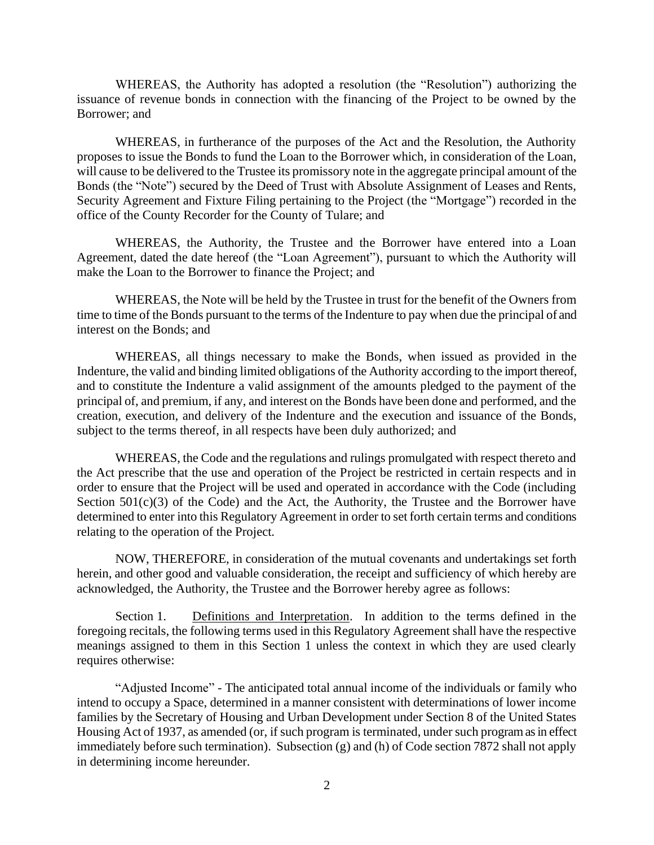WHEREAS, the Authority has adopted a resolution (the "Resolution") authorizing the issuance of revenue bonds in connection with the financing of the Project to be owned by the Borrower; and

WHEREAS, in furtherance of the purposes of the Act and the Resolution, the Authority proposes to issue the Bonds to fund the Loan to the Borrower which, in consideration of the Loan, will cause to be delivered to the Trustee its promissory note in the aggregate principal amount of the Bonds (the "Note") secured by the Deed of Trust with Absolute Assignment of Leases and Rents, Security Agreement and Fixture Filing pertaining to the Project (the "Mortgage") recorded in the office of the County Recorder for the County of Tulare; and

WHEREAS, the Authority, the Trustee and the Borrower have entered into a Loan Agreement, dated the date hereof (the "Loan Agreement"), pursuant to which the Authority will make the Loan to the Borrower to finance the Project; and

WHEREAS, the Note will be held by the Trustee in trust for the benefit of the Owners from time to time of the Bonds pursuant to the terms of the Indenture to pay when due the principal of and interest on the Bonds; and

WHEREAS, all things necessary to make the Bonds, when issued as provided in the Indenture, the valid and binding limited obligations of the Authority according to the import thereof, and to constitute the Indenture a valid assignment of the amounts pledged to the payment of the principal of, and premium, if any, and interest on the Bonds have been done and performed, and the creation, execution, and delivery of the Indenture and the execution and issuance of the Bonds, subject to the terms thereof, in all respects have been duly authorized; and

WHEREAS, the Code and the regulations and rulings promulgated with respect thereto and the Act prescribe that the use and operation of the Project be restricted in certain respects and in order to ensure that the Project will be used and operated in accordance with the Code (including Section  $501(c)(3)$  of the Code) and the Act, the Authority, the Trustee and the Borrower have determined to enter into this Regulatory Agreement in order to set forth certain terms and conditions relating to the operation of the Project.

NOW, THEREFORE, in consideration of the mutual covenants and undertakings set forth herein, and other good and valuable consideration, the receipt and sufficiency of which hereby are acknowledged, the Authority, the Trustee and the Borrower hereby agree as follows:

Section 1. Definitions and Interpretation. In addition to the terms defined in the foregoing recitals, the following terms used in this Regulatory Agreement shall have the respective meanings assigned to them in this Section 1 unless the context in which they are used clearly requires otherwise:

"Adjusted Income" - The anticipated total annual income of the individuals or family who intend to occupy a Space, determined in a manner consistent with determinations of lower income families by the Secretary of Housing and Urban Development under Section 8 of the United States Housing Act of 1937, as amended (or, if such program is terminated, under such program as in effect immediately before such termination). Subsection (g) and (h) of Code section 7872 shall not apply in determining income hereunder.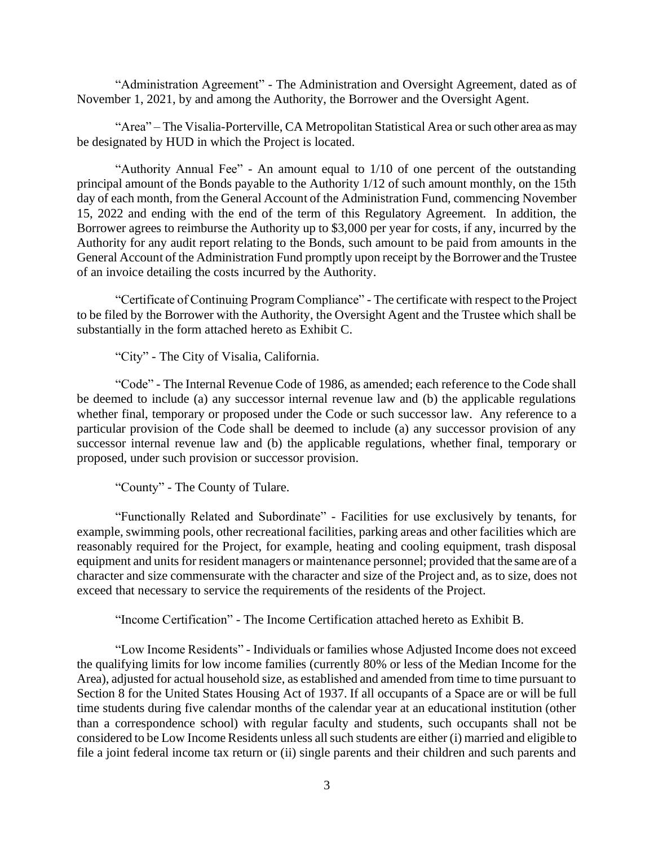"Administration Agreement" - The Administration and Oversight Agreement, dated as of November 1, 2021, by and among the Authority, the Borrower and the Oversight Agent.

"Area" – The Visalia-Porterville, CA Metropolitan Statistical Area or such other area as may be designated by HUD in which the Project is located.

"Authority Annual Fee" - An amount equal to 1/10 of one percent of the outstanding principal amount of the Bonds payable to the Authority 1/12 of such amount monthly, on the 15th day of each month, from the General Account of the Administration Fund, commencing November 15, 2022 and ending with the end of the term of this Regulatory Agreement. In addition, the Borrower agrees to reimburse the Authority up to \$3,000 per year for costs, if any, incurred by the Authority for any audit report relating to the Bonds, such amount to be paid from amounts in the General Account of the Administration Fund promptly upon receipt by the Borrower and the Trustee of an invoice detailing the costs incurred by the Authority.

"Certificate of Continuing Program Compliance" - The certificate with respect to the Project to be filed by the Borrower with the Authority, the Oversight Agent and the Trustee which shall be substantially in the form attached hereto as Exhibit C.

"City" - The City of Visalia, California.

"Code" - The Internal Revenue Code of 1986, as amended; each reference to the Code shall be deemed to include (a) any successor internal revenue law and (b) the applicable regulations whether final, temporary or proposed under the Code or such successor law. Any reference to a particular provision of the Code shall be deemed to include (a) any successor provision of any successor internal revenue law and (b) the applicable regulations, whether final, temporary or proposed, under such provision or successor provision.

"County" - The County of Tulare.

"Functionally Related and Subordinate" - Facilities for use exclusively by tenants, for example, swimming pools, other recreational facilities, parking areas and other facilities which are reasonably required for the Project, for example, heating and cooling equipment, trash disposal equipment and units for resident managers or maintenance personnel; provided that the same are of a character and size commensurate with the character and size of the Project and, as to size, does not exceed that necessary to service the requirements of the residents of the Project.

"Income Certification" - The Income Certification attached hereto as Exhibit B.

"Low Income Residents" - Individuals or families whose Adjusted Income does not exceed the qualifying limits for low income families (currently 80% or less of the Median Income for the Area), adjusted for actual household size, as established and amended from time to time pursuant to Section 8 for the United States Housing Act of 1937. If all occupants of a Space are or will be full time students during five calendar months of the calendar year at an educational institution (other than a correspondence school) with regular faculty and students, such occupants shall not be considered to be Low Income Residents unless all such students are either (i) married and eligible to file a joint federal income tax return or (ii) single parents and their children and such parents and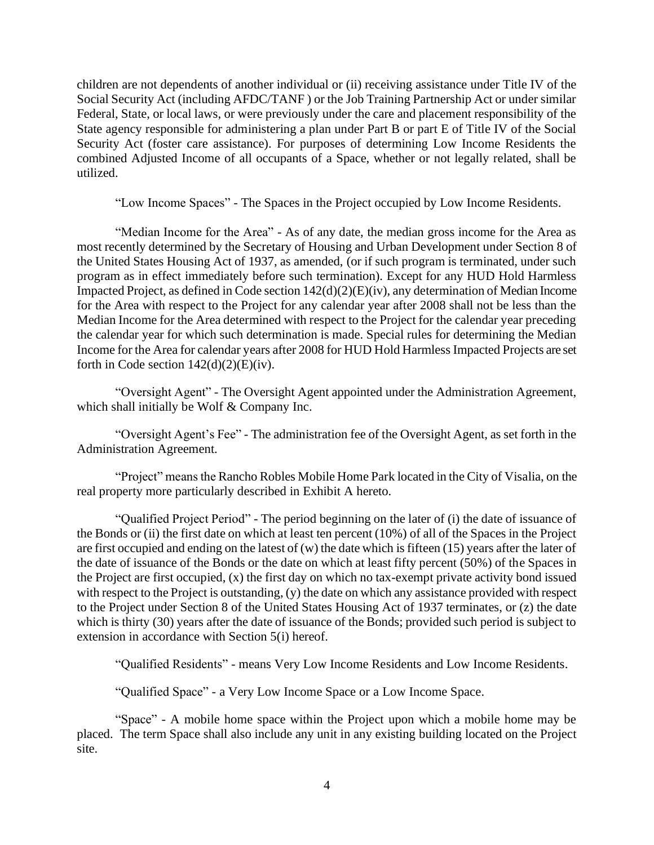children are not dependents of another individual or (ii) receiving assistance under Title IV of the Social Security Act (including AFDC/TANF ) or the Job Training Partnership Act or under similar Federal, State, or local laws, or were previously under the care and placement responsibility of the State agency responsible for administering a plan under Part B or part E of Title IV of the Social Security Act (foster care assistance). For purposes of determining Low Income Residents the combined Adjusted Income of all occupants of a Space, whether or not legally related, shall be utilized.

"Low Income Spaces" - The Spaces in the Project occupied by Low Income Residents.

"Median Income for the Area" - As of any date, the median gross income for the Area as most recently determined by the Secretary of Housing and Urban Development under Section 8 of the United States Housing Act of 1937, as amended, (or if such program is terminated, under such program as in effect immediately before such termination). Except for any HUD Hold Harmless Impacted Project, as defined in Code section 142(d)(2)(E)(iv), any determination of Median Income for the Area with respect to the Project for any calendar year after 2008 shall not be less than the Median Income for the Area determined with respect to the Project for the calendar year preceding the calendar year for which such determination is made. Special rules for determining the Median Income for the Area for calendar years after 2008 for HUD Hold Harmless Impacted Projects are set forth in Code section  $142(d)(2)(E)(iv)$ .

"Oversight Agent" - The Oversight Agent appointed under the Administration Agreement, which shall initially be Wolf & Company Inc.

"Oversight Agent's Fee" - The administration fee of the Oversight Agent, as set forth in the Administration Agreement.

"Project" means the Rancho Robles Mobile Home Park located in the City of Visalia, on the real property more particularly described in Exhibit A hereto.

"Qualified Project Period" - The period beginning on the later of (i) the date of issuance of the Bonds or (ii) the first date on which at least ten percent (10%) of all of the Spaces in the Project are first occupied and ending on the latest of (w) the date which is fifteen (15) years after the later of the date of issuance of the Bonds or the date on which at least fifty percent (50%) of the Spaces in the Project are first occupied, (x) the first day on which no tax-exempt private activity bond issued with respect to the Project is outstanding, (y) the date on which any assistance provided with respect to the Project under Section 8 of the United States Housing Act of 1937 terminates, or (z) the date which is thirty (30) years after the date of issuance of the Bonds; provided such period is subject to extension in accordance with Section 5(i) hereof.

"Qualified Residents" - means Very Low Income Residents and Low Income Residents.

"Qualified Space" - a Very Low Income Space or a Low Income Space.

"Space" - A mobile home space within the Project upon which a mobile home may be placed. The term Space shall also include any unit in any existing building located on the Project site.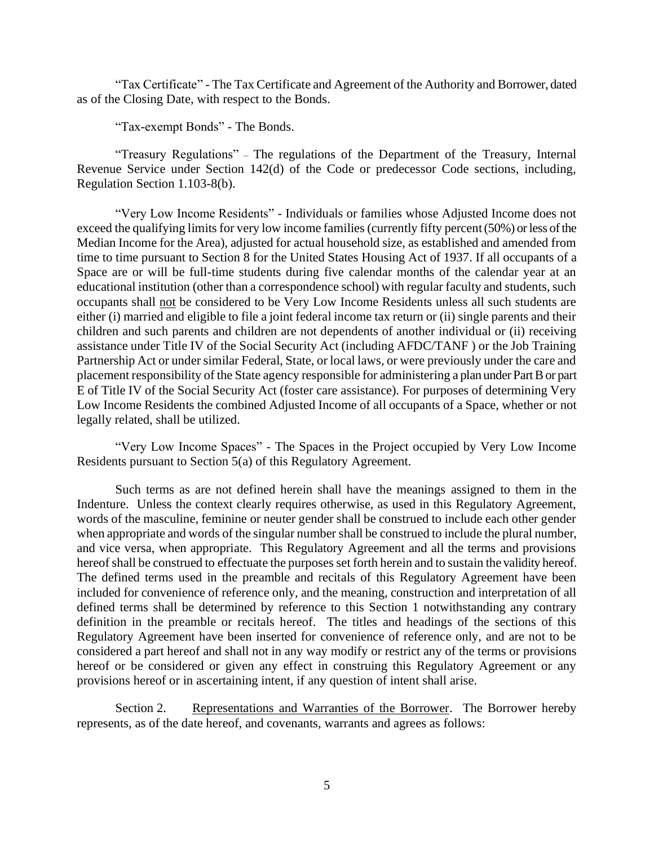"Tax Certificate" - The Tax Certificate and Agreement of the Authority and Borrower, dated as of the Closing Date, with respect to the Bonds.

"Tax-exempt Bonds" - The Bonds.

"Treasury Regulations" – The regulations of the Department of the Treasury, Internal Revenue Service under Section 142(d) of the Code or predecessor Code sections, including, Regulation Section 1.103-8(b).

"Very Low Income Residents" - Individuals or families whose Adjusted Income does not exceed the qualifying limits for very low income families (currently fifty percent (50%) or less of the Median Income for the Area), adjusted for actual household size, as established and amended from time to time pursuant to Section 8 for the United States Housing Act of 1937. If all occupants of a Space are or will be full-time students during five calendar months of the calendar year at an educational institution (other than a correspondence school) with regular faculty and students, such occupants shall not be considered to be Very Low Income Residents unless all such students are either (i) married and eligible to file a joint federal income tax return or (ii) single parents and their children and such parents and children are not dependents of another individual or (ii) receiving assistance under Title IV of the Social Security Act (including AFDC/TANF ) or the Job Training Partnership Act or under similar Federal, State, or local laws, or were previously under the care and placement responsibility of the State agency responsible for administering a plan under Part B or part E of Title IV of the Social Security Act (foster care assistance). For purposes of determining Very Low Income Residents the combined Adjusted Income of all occupants of a Space, whether or not legally related, shall be utilized.

"Very Low Income Spaces" - The Spaces in the Project occupied by Very Low Income Residents pursuant to Section 5(a) of this Regulatory Agreement.

Such terms as are not defined herein shall have the meanings assigned to them in the Indenture. Unless the context clearly requires otherwise, as used in this Regulatory Agreement, words of the masculine, feminine or neuter gender shall be construed to include each other gender when appropriate and words of the singular number shall be construed to include the plural number, and vice versa, when appropriate. This Regulatory Agreement and all the terms and provisions hereof shall be construed to effectuate the purposes set forth herein and to sustain the validity hereof. The defined terms used in the preamble and recitals of this Regulatory Agreement have been included for convenience of reference only, and the meaning, construction and interpretation of all defined terms shall be determined by reference to this Section 1 notwithstanding any contrary definition in the preamble or recitals hereof. The titles and headings of the sections of this Regulatory Agreement have been inserted for convenience of reference only, and are not to be considered a part hereof and shall not in any way modify or restrict any of the terms or provisions hereof or be considered or given any effect in construing this Regulatory Agreement or any provisions hereof or in ascertaining intent, if any question of intent shall arise.

Section 2. Representations and Warranties of the Borrower. The Borrower hereby represents, as of the date hereof, and covenants, warrants and agrees as follows: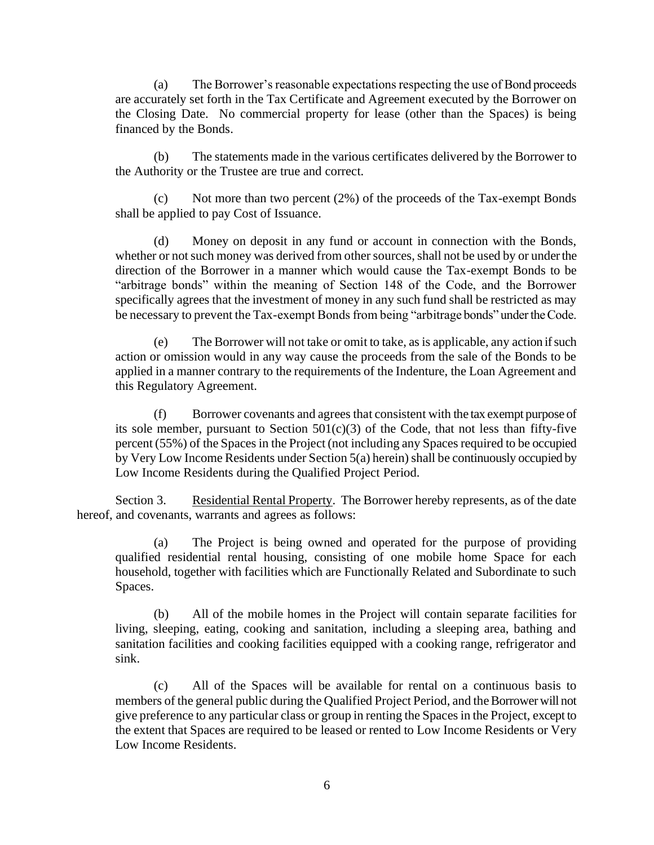(a) The Borrower's reasonable expectations respecting the use of Bond proceeds are accurately set forth in the Tax Certificate and Agreement executed by the Borrower on the Closing Date. No commercial property for lease (other than the Spaces) is being financed by the Bonds.

(b) The statements made in the various certificates delivered by the Borrower to the Authority or the Trustee are true and correct.

Not more than two percent  $(2%)$  of the proceeds of the Tax-exempt Bonds shall be applied to pay Cost of Issuance.

(d) Money on deposit in any fund or account in connection with the Bonds, whether or not such money was derived from other sources, shall not be used by or under the direction of the Borrower in a manner which would cause the Tax-exempt Bonds to be "arbitrage bonds" within the meaning of Section 148 of the Code, and the Borrower specifically agrees that the investment of money in any such fund shall be restricted as may be necessary to prevent the Tax-exempt Bonds from being "arbitrage bonds" under the Code.

(e) The Borrower will not take or omit to take, as is applicable, any action if such action or omission would in any way cause the proceeds from the sale of the Bonds to be applied in a manner contrary to the requirements of the Indenture, the Loan Agreement and this Regulatory Agreement.

(f) Borrower covenants and agrees that consistent with the tax exempt purpose of its sole member, pursuant to Section  $501(c)(3)$  of the Code, that not less than fifty-five percent (55%) of the Spaces in the Project (not including any Spaces required to be occupied by Very Low Income Residents under Section 5(a) herein) shall be continuously occupied by Low Income Residents during the Qualified Project Period.

Section 3. Residential Rental Property. The Borrower hereby represents, as of the date hereof, and covenants, warrants and agrees as follows:

(a) The Project is being owned and operated for the purpose of providing qualified residential rental housing, consisting of one mobile home Space for each household, together with facilities which are Functionally Related and Subordinate to such Spaces.

(b) All of the mobile homes in the Project will contain separate facilities for living, sleeping, eating, cooking and sanitation, including a sleeping area, bathing and sanitation facilities and cooking facilities equipped with a cooking range, refrigerator and sink.

(c) All of the Spaces will be available for rental on a continuous basis to members of the general public during the Qualified Project Period, and the Borrower will not give preference to any particular class or group in renting the Spaces in the Project, except to the extent that Spaces are required to be leased or rented to Low Income Residents or Very Low Income Residents.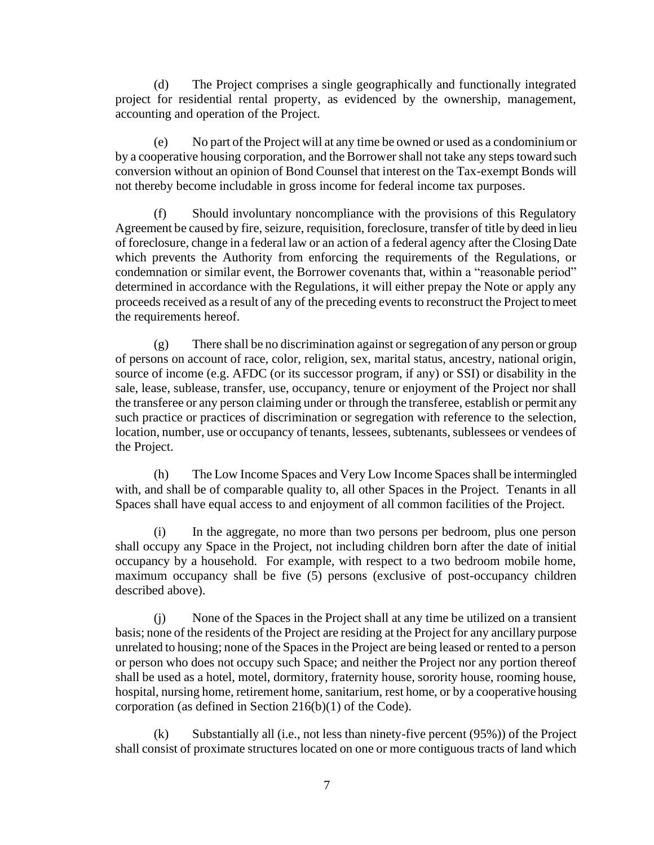(d) The Project comprises a single geographically and functionally integrated project for residential rental property, as evidenced by the ownership, management, accounting and operation of the Project.

(e) No part of the Project will at any time be owned or used as a condominium or by a cooperative housing corporation, and the Borrower shall not take any steps toward such conversion without an opinion of Bond Counsel that interest on the Tax-exempt Bonds will not thereby become includable in gross income for federal income tax purposes.

(f) Should involuntary noncompliance with the provisions of this Regulatory Agreement be caused by fire, seizure, requisition, foreclosure, transfer of title by deed in lieu of foreclosure, change in a federal law or an action of a federal agency after the Closing Date which prevents the Authority from enforcing the requirements of the Regulations, or condemnation or similar event, the Borrower covenants that, within a "reasonable period" determined in accordance with the Regulations, it will either prepay the Note or apply any proceeds received as a result of any of the preceding events to reconstruct the Project to meet the requirements hereof.

(g) There shall be no discrimination against or segregation of any person or group of persons on account of race, color, religion, sex, marital status, ancestry, national origin, source of income (e.g. AFDC (or its successor program, if any) or SSI) or disability in the sale, lease, sublease, transfer, use, occupancy, tenure or enjoyment of the Project nor shall the transferee or any person claiming under or through the transferee, establish or permit any such practice or practices of discrimination or segregation with reference to the selection, location, number, use or occupancy of tenants, lessees, subtenants, sublessees or vendees of the Project.

(h) The Low Income Spaces and Very Low Income Spaces shall be intermingled with, and shall be of comparable quality to, all other Spaces in the Project. Tenants in all Spaces shall have equal access to and enjoyment of all common facilities of the Project.

(i) In the aggregate, no more than two persons per bedroom, plus one person shall occupy any Space in the Project, not including children born after the date of initial occupancy by a household. For example, with respect to a two bedroom mobile home, maximum occupancy shall be five (5) persons (exclusive of post-occupancy children described above).

(j) None of the Spaces in the Project shall at any time be utilized on a transient basis; none of the residents of the Project are residing at the Project for any ancillary purpose unrelated to housing; none of the Spaces in the Project are being leased or rented to a person or person who does not occupy such Space; and neither the Project nor any portion thereof shall be used as a hotel, motel, dormitory, fraternity house, sorority house, rooming house, hospital, nursing home, retirement home, sanitarium, rest home, or by a cooperative housing corporation (as defined in Section 216(b)(1) of the Code).

(k) Substantially all (i.e., not less than ninety-five percent (95%)) of the Project shall consist of proximate structures located on one or more contiguous tracts of land which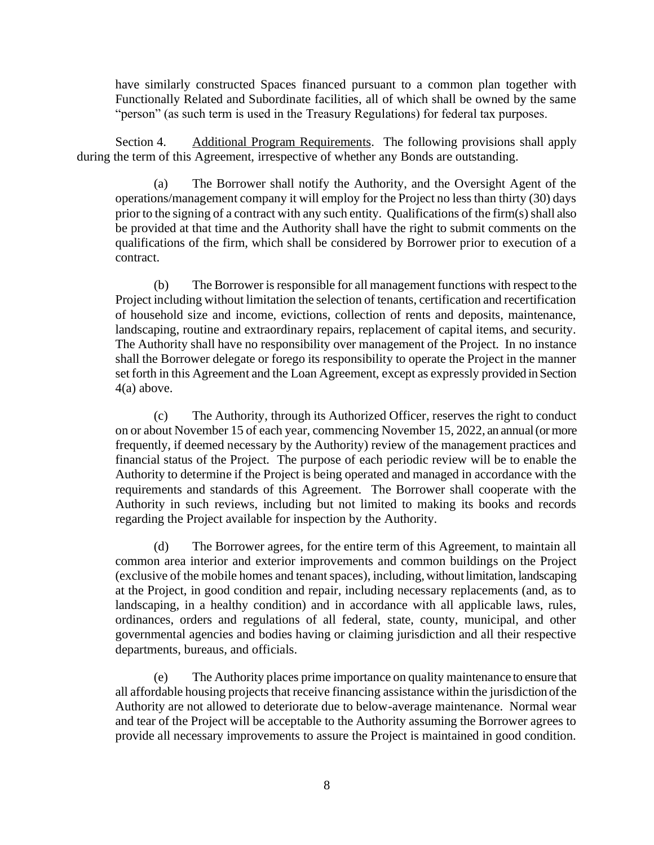have similarly constructed Spaces financed pursuant to a common plan together with Functionally Related and Subordinate facilities, all of which shall be owned by the same "person" (as such term is used in the Treasury Regulations) for federal tax purposes.

Section 4. Additional Program Requirements. The following provisions shall apply during the term of this Agreement, irrespective of whether any Bonds are outstanding.

(a) The Borrower shall notify the Authority, and the Oversight Agent of the operations/management company it will employ for the Project no less than thirty (30) days prior to the signing of a contract with any such entity. Qualifications of the firm(s) shall also be provided at that time and the Authority shall have the right to submit comments on the qualifications of the firm, which shall be considered by Borrower prior to execution of a contract.

(b) The Borrower is responsible for all management functions with respect to the Project including without limitation the selection of tenants, certification and recertification of household size and income, evictions, collection of rents and deposits, maintenance, landscaping, routine and extraordinary repairs, replacement of capital items, and security. The Authority shall have no responsibility over management of the Project. In no instance shall the Borrower delegate or forego its responsibility to operate the Project in the manner set forth in this Agreement and the Loan Agreement, except as expressly provided in Section 4(a) above.

(c) The Authority, through its Authorized Officer, reserves the right to conduct on or about November 15 of each year, commencing November 15, 2022, an annual (or more frequently, if deemed necessary by the Authority) review of the management practices and financial status of the Project. The purpose of each periodic review will be to enable the Authority to determine if the Project is being operated and managed in accordance with the requirements and standards of this Agreement. The Borrower shall cooperate with the Authority in such reviews, including but not limited to making its books and records regarding the Project available for inspection by the Authority.

(d) The Borrower agrees, for the entire term of this Agreement, to maintain all common area interior and exterior improvements and common buildings on the Project (exclusive of the mobile homes and tenant spaces), including, without limitation, landscaping at the Project, in good condition and repair, including necessary replacements (and, as to landscaping, in a healthy condition) and in accordance with all applicable laws, rules, ordinances, orders and regulations of all federal, state, county, municipal, and other governmental agencies and bodies having or claiming jurisdiction and all their respective departments, bureaus, and officials.

(e) The Authority places prime importance on quality maintenance to ensure that all affordable housing projects that receive financing assistance within the jurisdiction of the Authority are not allowed to deteriorate due to below-average maintenance. Normal wear and tear of the Project will be acceptable to the Authority assuming the Borrower agrees to provide all necessary improvements to assure the Project is maintained in good condition.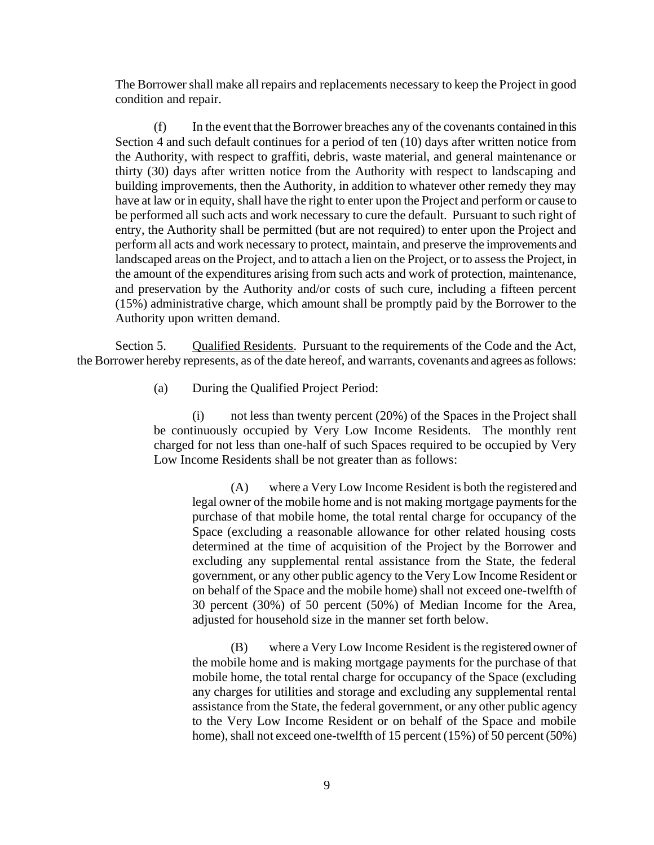The Borrower shall make all repairs and replacements necessary to keep the Project in good condition and repair.

(f) In the event that the Borrower breaches any of the covenants contained in this Section 4 and such default continues for a period of ten (10) days after written notice from the Authority, with respect to graffiti, debris, waste material, and general maintenance or thirty (30) days after written notice from the Authority with respect to landscaping and building improvements, then the Authority, in addition to whatever other remedy they may have at law or in equity, shall have the right to enter upon the Project and perform or cause to be performed all such acts and work necessary to cure the default. Pursuant to such right of entry, the Authority shall be permitted (but are not required) to enter upon the Project and perform all acts and work necessary to protect, maintain, and preserve the improvements and landscaped areas on the Project, and to attach a lien on the Project, or to assess the Project, in the amount of the expenditures arising from such acts and work of protection, maintenance, and preservation by the Authority and/or costs of such cure, including a fifteen percent (15%) administrative charge, which amount shall be promptly paid by the Borrower to the Authority upon written demand.

Section 5. Qualified Residents. Pursuant to the requirements of the Code and the Act, the Borrower hereby represents, as of the date hereof, and warrants, covenants and agrees as follows:

(a) During the Qualified Project Period:

(i) not less than twenty percent (20%) of the Spaces in the Project shall be continuously occupied by Very Low Income Residents. The monthly rent charged for not less than one-half of such Spaces required to be occupied by Very Low Income Residents shall be not greater than as follows:

(A) where a Very Low Income Resident is both the registered and legal owner of the mobile home and is not making mortgage payments for the purchase of that mobile home, the total rental charge for occupancy of the Space (excluding a reasonable allowance for other related housing costs determined at the time of acquisition of the Project by the Borrower and excluding any supplemental rental assistance from the State, the federal government, or any other public agency to the Very Low Income Resident or on behalf of the Space and the mobile home) shall not exceed one-twelfth of 30 percent (30%) of 50 percent (50%) of Median Income for the Area, adjusted for household size in the manner set forth below.

(B) where a Very Low Income Resident is the registered owner of the mobile home and is making mortgage payments for the purchase of that mobile home, the total rental charge for occupancy of the Space (excluding any charges for utilities and storage and excluding any supplemental rental assistance from the State, the federal government, or any other public agency to the Very Low Income Resident or on behalf of the Space and mobile home), shall not exceed one-twelfth of 15 percent (15%) of 50 percent (50%)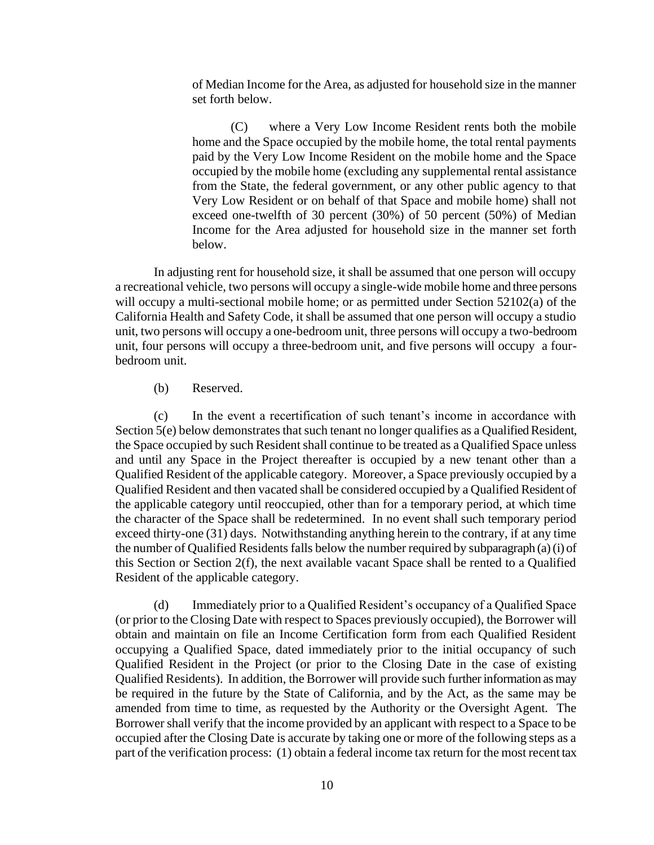of Median Income for the Area, as adjusted for household size in the manner set forth below.

(C) where a Very Low Income Resident rents both the mobile home and the Space occupied by the mobile home, the total rental payments paid by the Very Low Income Resident on the mobile home and the Space occupied by the mobile home (excluding any supplemental rental assistance from the State, the federal government, or any other public agency to that Very Low Resident or on behalf of that Space and mobile home) shall not exceed one-twelfth of 30 percent (30%) of 50 percent (50%) of Median Income for the Area adjusted for household size in the manner set forth below.

In adjusting rent for household size, it shall be assumed that one person will occupy a recreational vehicle, two persons will occupy a single-wide mobile home and three persons will occupy a multi-sectional mobile home; or as permitted under Section 52102(a) of the California Health and Safety Code, it shall be assumed that one person will occupy a studio unit, two persons will occupy a one-bedroom unit, three persons will occupy a two-bedroom unit, four persons will occupy a three-bedroom unit, and five persons will occupy a fourbedroom unit.

#### (b) Reserved.

(c) In the event a recertification of such tenant's income in accordance with Section 5(e) below demonstrates that such tenant no longer qualifies as a Qualified Resident, the Space occupied by such Resident shall continue to be treated as a Qualified Space unless and until any Space in the Project thereafter is occupied by a new tenant other than a Qualified Resident of the applicable category. Moreover, a Space previously occupied by a Qualified Resident and then vacated shall be considered occupied by a Qualified Resident of the applicable category until reoccupied, other than for a temporary period, at which time the character of the Space shall be redetermined. In no event shall such temporary period exceed thirty-one (31) days. Notwithstanding anything herein to the contrary, if at any time the number of Qualified Residents falls below the number required by subparagraph (a) (i) of this Section or Section 2(f), the next available vacant Space shall be rented to a Qualified Resident of the applicable category.

(d) Immediately prior to a Qualified Resident's occupancy of a Qualified Space (or prior to the Closing Date with respect to Spaces previously occupied), the Borrower will obtain and maintain on file an Income Certification form from each Qualified Resident occupying a Qualified Space, dated immediately prior to the initial occupancy of such Qualified Resident in the Project (or prior to the Closing Date in the case of existing Qualified Residents). In addition, the Borrower will provide such further information as may be required in the future by the State of California, and by the Act, as the same may be amended from time to time, as requested by the Authority or the Oversight Agent. The Borrower shall verify that the income provided by an applicant with respect to a Space to be occupied after the Closing Date is accurate by taking one or more of the following steps as a part of the verification process: (1) obtain a federal income tax return for the most recent tax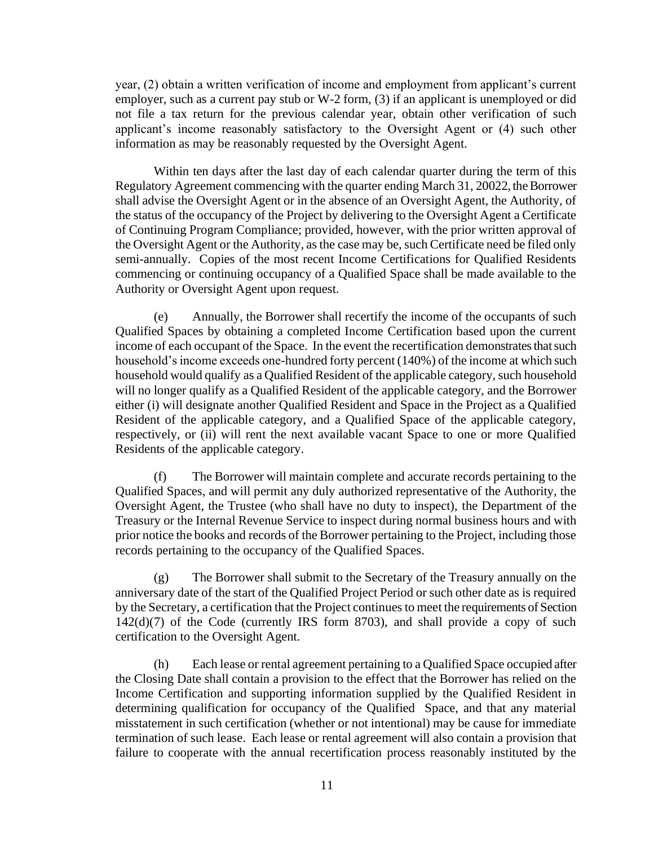year, (2) obtain a written verification of income and employment from applicant's current employer, such as a current pay stub or W-2 form, (3) if an applicant is unemployed or did not file a tax return for the previous calendar year, obtain other verification of such applicant's income reasonably satisfactory to the Oversight Agent or (4) such other information as may be reasonably requested by the Oversight Agent.

Within ten days after the last day of each calendar quarter during the term of this Regulatory Agreement commencing with the quarter ending March 31, 20022, the Borrower shall advise the Oversight Agent or in the absence of an Oversight Agent, the Authority, of the status of the occupancy of the Project by delivering to the Oversight Agent a Certificate of Continuing Program Compliance; provided, however, with the prior written approval of the Oversight Agent or the Authority, as the case may be, such Certificate need be filed only semi-annually. Copies of the most recent Income Certifications for Qualified Residents commencing or continuing occupancy of a Qualified Space shall be made available to the Authority or Oversight Agent upon request.

(e) Annually, the Borrower shall recertify the income of the occupants of such Qualified Spaces by obtaining a completed Income Certification based upon the current income of each occupant of the Space. In the event the recertification demonstrates that such household's income exceeds one-hundred forty percent (140%) of the income at which such household would qualify as a Qualified Resident of the applicable category, such household will no longer qualify as a Qualified Resident of the applicable category, and the Borrower either (i) will designate another Qualified Resident and Space in the Project as a Qualified Resident of the applicable category, and a Qualified Space of the applicable category, respectively, or (ii) will rent the next available vacant Space to one or more Qualified Residents of the applicable category.

(f) The Borrower will maintain complete and accurate records pertaining to the Qualified Spaces, and will permit any duly authorized representative of the Authority, the Oversight Agent, the Trustee (who shall have no duty to inspect), the Department of the Treasury or the Internal Revenue Service to inspect during normal business hours and with prior notice the books and records of the Borrower pertaining to the Project, including those records pertaining to the occupancy of the Qualified Spaces.

(g) The Borrower shall submit to the Secretary of the Treasury annually on the anniversary date of the start of the Qualified Project Period or such other date as is required by the Secretary, a certification that the Project continues to meet the requirements of Section  $142(d)(7)$  of the Code (currently IRS form 8703), and shall provide a copy of such certification to the Oversight Agent.

(h) Each lease or rental agreement pertaining to a Qualified Space occupied after the Closing Date shall contain a provision to the effect that the Borrower has relied on the Income Certification and supporting information supplied by the Qualified Resident in determining qualification for occupancy of the Qualified Space, and that any material misstatement in such certification (whether or not intentional) may be cause for immediate termination of such lease. Each lease or rental agreement will also contain a provision that failure to cooperate with the annual recertification process reasonably instituted by the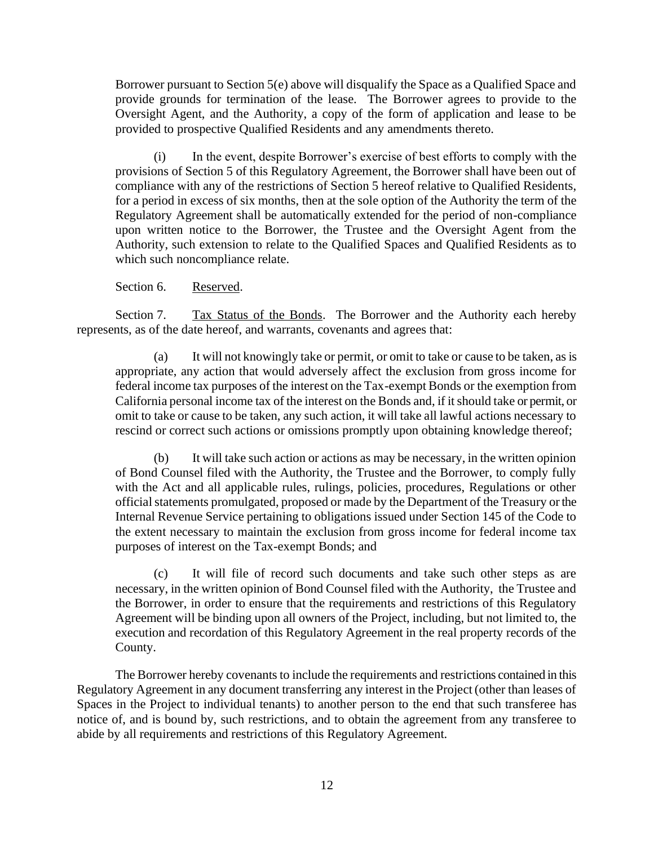Borrower pursuant to Section 5(e) above will disqualify the Space as a Qualified Space and provide grounds for termination of the lease. The Borrower agrees to provide to the Oversight Agent, and the Authority, a copy of the form of application and lease to be provided to prospective Qualified Residents and any amendments thereto.

(i) In the event, despite Borrower's exercise of best efforts to comply with the provisions of Section 5 of this Regulatory Agreement, the Borrower shall have been out of compliance with any of the restrictions of Section 5 hereof relative to Qualified Residents, for a period in excess of six months, then at the sole option of the Authority the term of the Regulatory Agreement shall be automatically extended for the period of non-compliance upon written notice to the Borrower, the Trustee and the Oversight Agent from the Authority, such extension to relate to the Qualified Spaces and Qualified Residents as to which such noncompliance relate.

#### Section 6. Reserved.

Section 7. Tax Status of the Bonds. The Borrower and the Authority each hereby represents, as of the date hereof, and warrants, covenants and agrees that:

(a) It will not knowingly take or permit, or omit to take or cause to be taken, as is appropriate, any action that would adversely affect the exclusion from gross income for federal income tax purposes of the interest on the Tax-exempt Bonds or the exemption from California personal income tax of the interest on the Bonds and, if it should take or permit, or omit to take or cause to be taken, any such action, it will take all lawful actions necessary to rescind or correct such actions or omissions promptly upon obtaining knowledge thereof;

(b) It will take such action or actions as may be necessary, in the written opinion of Bond Counsel filed with the Authority, the Trustee and the Borrower, to comply fully with the Act and all applicable rules, rulings, policies, procedures, Regulations or other official statements promulgated, proposed or made by the Department of the Treasury or the Internal Revenue Service pertaining to obligations issued under Section 145 of the Code to the extent necessary to maintain the exclusion from gross income for federal income tax purposes of interest on the Tax-exempt Bonds; and

(c) It will file of record such documents and take such other steps as are necessary, in the written opinion of Bond Counsel filed with the Authority, the Trustee and the Borrower, in order to ensure that the requirements and restrictions of this Regulatory Agreement will be binding upon all owners of the Project, including, but not limited to, the execution and recordation of this Regulatory Agreement in the real property records of the County.

The Borrower hereby covenants to include the requirements and restrictions contained in this Regulatory Agreement in any document transferring any interest in the Project (other than leases of Spaces in the Project to individual tenants) to another person to the end that such transferee has notice of, and is bound by, such restrictions, and to obtain the agreement from any transferee to abide by all requirements and restrictions of this Regulatory Agreement.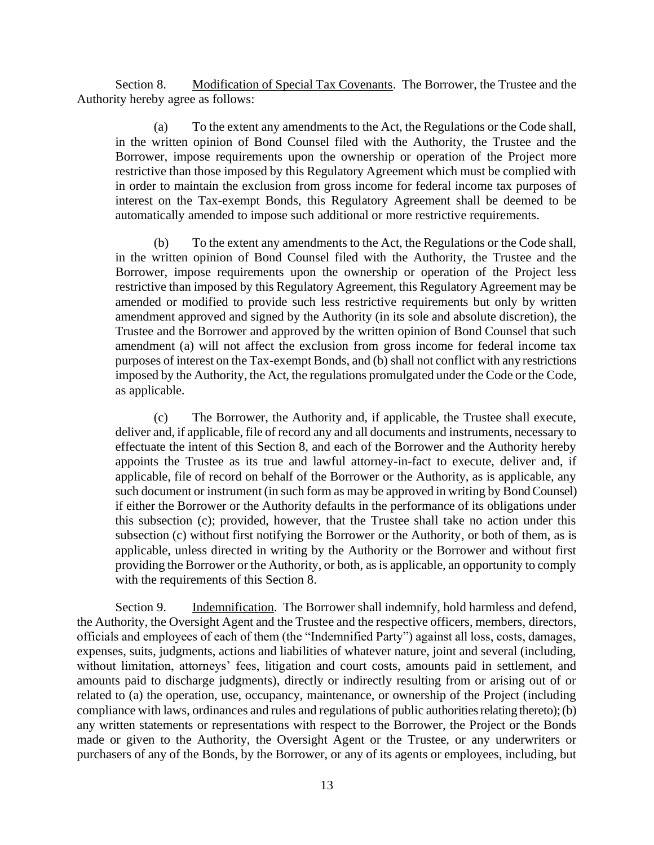Section 8. Modification of Special Tax Covenants. The Borrower, the Trustee and the Authority hereby agree as follows:

(a) To the extent any amendments to the Act, the Regulations or the Code shall, in the written opinion of Bond Counsel filed with the Authority, the Trustee and the Borrower, impose requirements upon the ownership or operation of the Project more restrictive than those imposed by this Regulatory Agreement which must be complied with in order to maintain the exclusion from gross income for federal income tax purposes of interest on the Tax-exempt Bonds, this Regulatory Agreement shall be deemed to be automatically amended to impose such additional or more restrictive requirements.

(b) To the extent any amendments to the Act, the Regulations or the Code shall, in the written opinion of Bond Counsel filed with the Authority, the Trustee and the Borrower, impose requirements upon the ownership or operation of the Project less restrictive than imposed by this Regulatory Agreement, this Regulatory Agreement may be amended or modified to provide such less restrictive requirements but only by written amendment approved and signed by the Authority (in its sole and absolute discretion), the Trustee and the Borrower and approved by the written opinion of Bond Counsel that such amendment (a) will not affect the exclusion from gross income for federal income tax purposes of interest on the Tax-exempt Bonds, and (b) shall not conflict with any restrictions imposed by the Authority, the Act, the regulations promulgated under the Code or the Code, as applicable.

(c) The Borrower, the Authority and, if applicable, the Trustee shall execute, deliver and, if applicable, file of record any and all documents and instruments, necessary to effectuate the intent of this Section 8, and each of the Borrower and the Authority hereby appoints the Trustee as its true and lawful attorney-in-fact to execute, deliver and, if applicable, file of record on behalf of the Borrower or the Authority, as is applicable, any such document or instrument (in such form as may be approved in writing by Bond Counsel) if either the Borrower or the Authority defaults in the performance of its obligations under this subsection (c); provided, however, that the Trustee shall take no action under this subsection (c) without first notifying the Borrower or the Authority, or both of them, as is applicable, unless directed in writing by the Authority or the Borrower and without first providing the Borrower or the Authority, or both, as is applicable, an opportunity to comply with the requirements of this Section 8.

Section 9. Indemnification. The Borrower shall indemnify, hold harmless and defend, the Authority, the Oversight Agent and the Trustee and the respective officers, members, directors, officials and employees of each of them (the "Indemnified Party") against all loss, costs, damages, expenses, suits, judgments, actions and liabilities of whatever nature, joint and several (including, without limitation, attorneys' fees, litigation and court costs, amounts paid in settlement, and amounts paid to discharge judgments), directly or indirectly resulting from or arising out of or related to (a) the operation, use, occupancy, maintenance, or ownership of the Project (including compliance with laws, ordinances and rules and regulations of public authorities relating thereto); (b) any written statements or representations with respect to the Borrower, the Project or the Bonds made or given to the Authority, the Oversight Agent or the Trustee, or any underwriters or purchasers of any of the Bonds, by the Borrower, or any of its agents or employees, including, but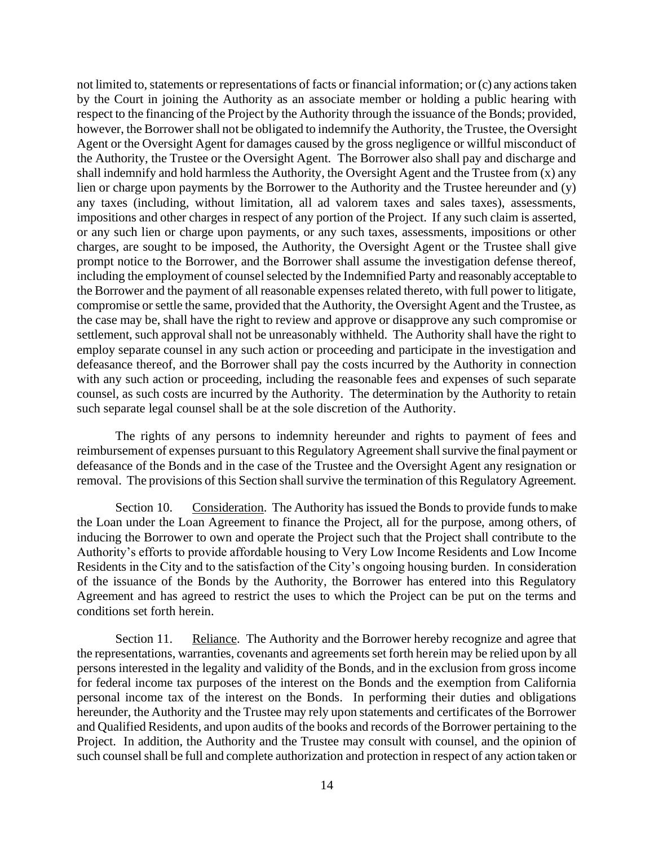not limited to, statements or representations of facts or financial information; or (c) any actions taken by the Court in joining the Authority as an associate member or holding a public hearing with respect to the financing of the Project by the Authority through the issuance of the Bonds; provided, however, the Borrower shall not be obligated to indemnify the Authority, the Trustee, the Oversight Agent or the Oversight Agent for damages caused by the gross negligence or willful misconduct of the Authority, the Trustee or the Oversight Agent. The Borrower also shall pay and discharge and shall indemnify and hold harmless the Authority, the Oversight Agent and the Trustee from (x) any lien or charge upon payments by the Borrower to the Authority and the Trustee hereunder and (y) any taxes (including, without limitation, all ad valorem taxes and sales taxes), assessments, impositions and other charges in respect of any portion of the Project. If any such claim is asserted, or any such lien or charge upon payments, or any such taxes, assessments, impositions or other charges, are sought to be imposed, the Authority, the Oversight Agent or the Trustee shall give prompt notice to the Borrower, and the Borrower shall assume the investigation defense thereof, including the employment of counsel selected by the Indemnified Party and reasonably acceptable to the Borrower and the payment of all reasonable expenses related thereto, with full power to litigate, compromise or settle the same, provided that the Authority, the Oversight Agent and the Trustee, as the case may be, shall have the right to review and approve or disapprove any such compromise or settlement, such approval shall not be unreasonably withheld. The Authority shall have the right to employ separate counsel in any such action or proceeding and participate in the investigation and defeasance thereof, and the Borrower shall pay the costs incurred by the Authority in connection with any such action or proceeding, including the reasonable fees and expenses of such separate counsel, as such costs are incurred by the Authority. The determination by the Authority to retain such separate legal counsel shall be at the sole discretion of the Authority.

The rights of any persons to indemnity hereunder and rights to payment of fees and reimbursement of expenses pursuant to this Regulatory Agreement shall survive the final payment or defeasance of the Bonds and in the case of the Trustee and the Oversight Agent any resignation or removal. The provisions of this Section shall survive the termination of this Regulatory Agreement.

Section 10. Consideration. The Authority has issued the Bonds to provide funds to make the Loan under the Loan Agreement to finance the Project, all for the purpose, among others, of inducing the Borrower to own and operate the Project such that the Project shall contribute to the Authority's efforts to provide affordable housing to Very Low Income Residents and Low Income Residents in the City and to the satisfaction of the City's ongoing housing burden. In consideration of the issuance of the Bonds by the Authority, the Borrower has entered into this Regulatory Agreement and has agreed to restrict the uses to which the Project can be put on the terms and conditions set forth herein.

Section 11. Reliance. The Authority and the Borrower hereby recognize and agree that the representations, warranties, covenants and agreements set forth herein may be relied upon by all persons interested in the legality and validity of the Bonds, and in the exclusion from gross income for federal income tax purposes of the interest on the Bonds and the exemption from California personal income tax of the interest on the Bonds. In performing their duties and obligations hereunder, the Authority and the Trustee may rely upon statements and certificates of the Borrower and Qualified Residents, and upon audits of the books and records of the Borrower pertaining to the Project. In addition, the Authority and the Trustee may consult with counsel, and the opinion of such counsel shall be full and complete authorization and protection in respect of any action taken or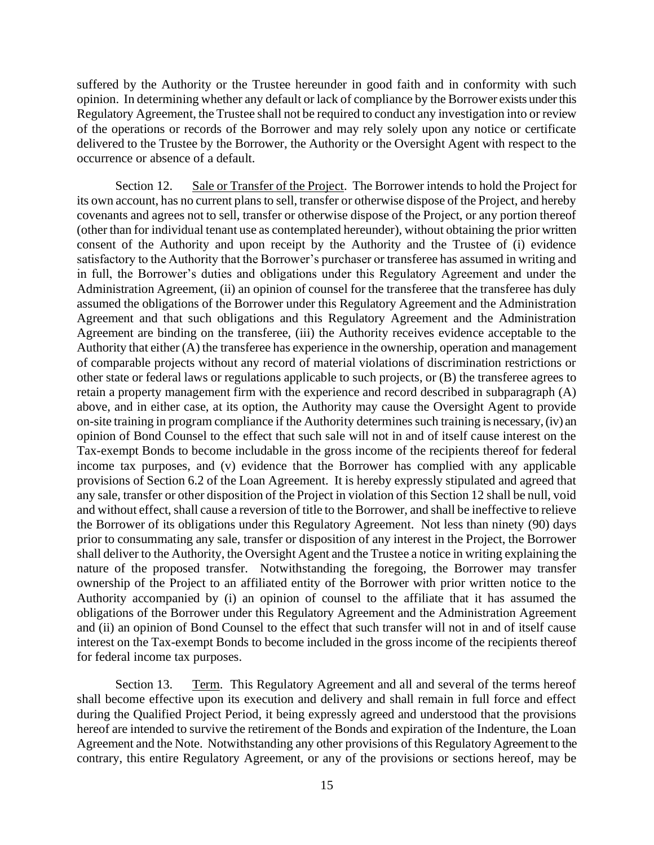suffered by the Authority or the Trustee hereunder in good faith and in conformity with such opinion. In determining whether any default or lack of compliance by the Borrower exists under this Regulatory Agreement, the Trustee shall not be required to conduct any investigation into or review of the operations or records of the Borrower and may rely solely upon any notice or certificate delivered to the Trustee by the Borrower, the Authority or the Oversight Agent with respect to the occurrence or absence of a default.

Section 12. Sale or Transfer of the Project. The Borrower intends to hold the Project for its own account, has no current plans to sell, transfer or otherwise dispose of the Project, and hereby covenants and agrees not to sell, transfer or otherwise dispose of the Project, or any portion thereof (other than for individual tenant use as contemplated hereunder), without obtaining the prior written consent of the Authority and upon receipt by the Authority and the Trustee of (i) evidence satisfactory to the Authority that the Borrower's purchaser or transferee has assumed in writing and in full, the Borrower's duties and obligations under this Regulatory Agreement and under the Administration Agreement, (ii) an opinion of counsel for the transferee that the transferee has duly assumed the obligations of the Borrower under this Regulatory Agreement and the Administration Agreement and that such obligations and this Regulatory Agreement and the Administration Agreement are binding on the transferee, (iii) the Authority receives evidence acceptable to the Authority that either (A) the transferee has experience in the ownership, operation and management of comparable projects without any record of material violations of discrimination restrictions or other state or federal laws or regulations applicable to such projects, or (B) the transferee agrees to retain a property management firm with the experience and record described in subparagraph (A) above, and in either case, at its option, the Authority may cause the Oversight Agent to provide on-site training in program compliance if the Authority determines such training is necessary, (iv) an opinion of Bond Counsel to the effect that such sale will not in and of itself cause interest on the Tax-exempt Bonds to become includable in the gross income of the recipients thereof for federal income tax purposes, and (v) evidence that the Borrower has complied with any applicable provisions of Section 6.2 of the Loan Agreement. It is hereby expressly stipulated and agreed that any sale, transfer or other disposition of the Project in violation of this Section 12 shall be null, void and without effect, shall cause a reversion of title to the Borrower, and shall be ineffective to relieve the Borrower of its obligations under this Regulatory Agreement. Not less than ninety (90) days prior to consummating any sale, transfer or disposition of any interest in the Project, the Borrower shall deliver to the Authority, the Oversight Agent and the Trustee a notice in writing explaining the nature of the proposed transfer. Notwithstanding the foregoing, the Borrower may transfer ownership of the Project to an affiliated entity of the Borrower with prior written notice to the Authority accompanied by (i) an opinion of counsel to the affiliate that it has assumed the obligations of the Borrower under this Regulatory Agreement and the Administration Agreement and (ii) an opinion of Bond Counsel to the effect that such transfer will not in and of itself cause interest on the Tax-exempt Bonds to become included in the gross income of the recipients thereof for federal income tax purposes.

Section 13. Term. This Regulatory Agreement and all and several of the terms hereof shall become effective upon its execution and delivery and shall remain in full force and effect during the Qualified Project Period, it being expressly agreed and understood that the provisions hereof are intended to survive the retirement of the Bonds and expiration of the Indenture, the Loan Agreement and the Note. Notwithstanding any other provisions of this Regulatory Agreement to the contrary, this entire Regulatory Agreement, or any of the provisions or sections hereof, may be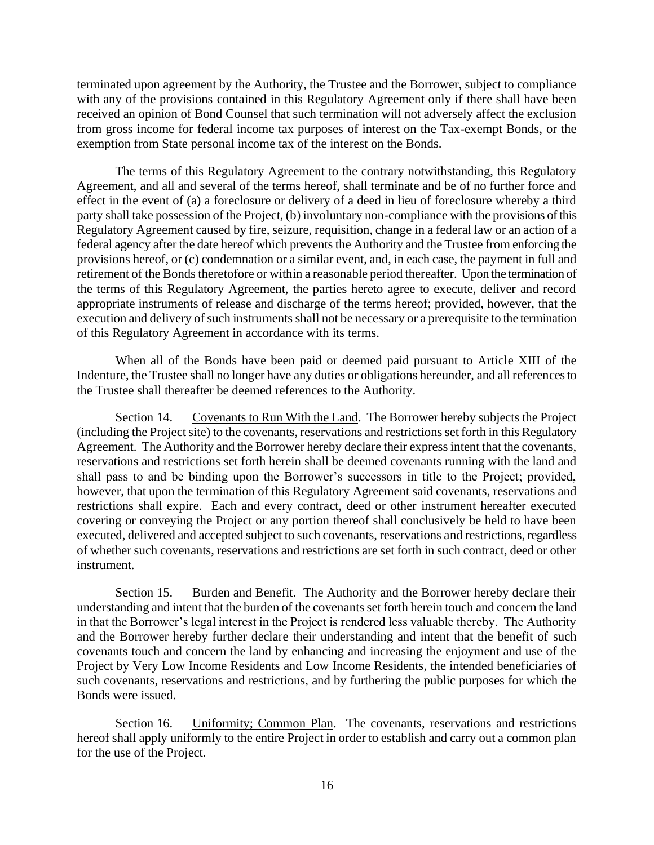terminated upon agreement by the Authority, the Trustee and the Borrower, subject to compliance with any of the provisions contained in this Regulatory Agreement only if there shall have been received an opinion of Bond Counsel that such termination will not adversely affect the exclusion from gross income for federal income tax purposes of interest on the Tax-exempt Bonds, or the exemption from State personal income tax of the interest on the Bonds.

The terms of this Regulatory Agreement to the contrary notwithstanding, this Regulatory Agreement, and all and several of the terms hereof, shall terminate and be of no further force and effect in the event of (a) a foreclosure or delivery of a deed in lieu of foreclosure whereby a third party shall take possession of the Project, (b) involuntary non-compliance with the provisions of this Regulatory Agreement caused by fire, seizure, requisition, change in a federal law or an action of a federal agency after the date hereof which prevents the Authority and the Trustee from enforcing the provisions hereof, or (c) condemnation or a similar event, and, in each case, the payment in full and retirement of the Bonds theretofore or within a reasonable period thereafter. Upon the termination of the terms of this Regulatory Agreement, the parties hereto agree to execute, deliver and record appropriate instruments of release and discharge of the terms hereof; provided, however, that the execution and delivery of such instruments shall not be necessary or a prerequisite to the termination of this Regulatory Agreement in accordance with its terms.

When all of the Bonds have been paid or deemed paid pursuant to Article XIII of the Indenture, the Trustee shall no longer have any duties or obligations hereunder, and all references to the Trustee shall thereafter be deemed references to the Authority.

Section 14. Covenants to Run With the Land. The Borrower hereby subjects the Project (including the Project site) to the covenants, reservations and restrictions set forth in this Regulatory Agreement. The Authority and the Borrower hereby declare their express intent that the covenants, reservations and restrictions set forth herein shall be deemed covenants running with the land and shall pass to and be binding upon the Borrower's successors in title to the Project; provided, however, that upon the termination of this Regulatory Agreement said covenants, reservations and restrictions shall expire. Each and every contract, deed or other instrument hereafter executed covering or conveying the Project or any portion thereof shall conclusively be held to have been executed, delivered and accepted subject to such covenants, reservations and restrictions, regardless of whether such covenants, reservations and restrictions are set forth in such contract, deed or other instrument.

Section 15. Burden and Benefit. The Authority and the Borrower hereby declare their understanding and intent that the burden of the covenants set forth herein touch and concern the land in that the Borrower's legal interest in the Project is rendered less valuable thereby. The Authority and the Borrower hereby further declare their understanding and intent that the benefit of such covenants touch and concern the land by enhancing and increasing the enjoyment and use of the Project by Very Low Income Residents and Low Income Residents, the intended beneficiaries of such covenants, reservations and restrictions, and by furthering the public purposes for which the Bonds were issued.

Section 16. Uniformity; Common Plan. The covenants, reservations and restrictions hereof shall apply uniformly to the entire Project in order to establish and carry out a common plan for the use of the Project.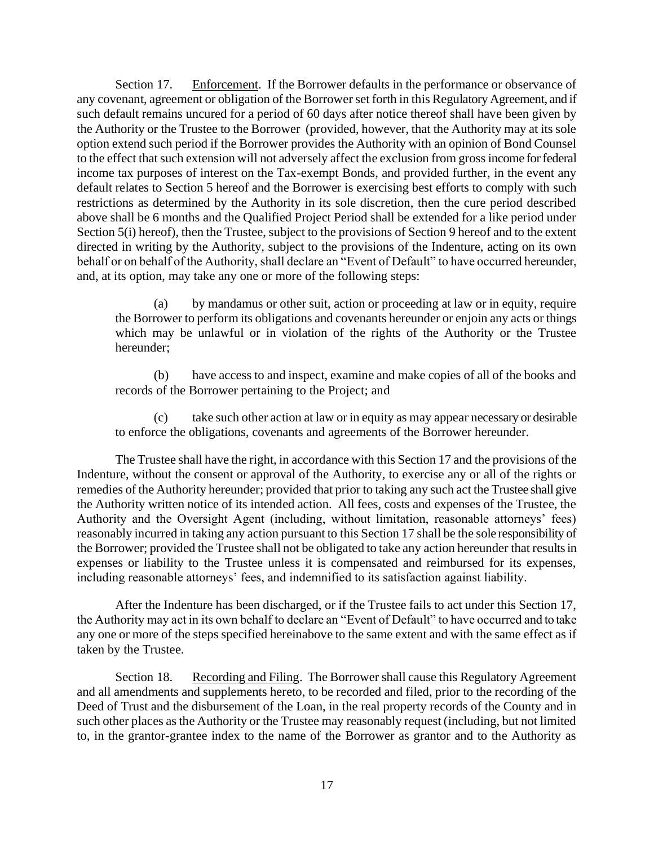Section 17. Enforcement. If the Borrower defaults in the performance or observance of any covenant, agreement or obligation of the Borrower set forth in this Regulatory Agreement, and if such default remains uncured for a period of 60 days after notice thereof shall have been given by the Authority or the Trustee to the Borrower (provided, however, that the Authority may at its sole option extend such period if the Borrower provides the Authority with an opinion of Bond Counsel to the effect that such extension will not adversely affect the exclusion from gross income for federal income tax purposes of interest on the Tax-exempt Bonds, and provided further, in the event any default relates to Section 5 hereof and the Borrower is exercising best efforts to comply with such restrictions as determined by the Authority in its sole discretion, then the cure period described above shall be 6 months and the Qualified Project Period shall be extended for a like period under Section 5(i) hereof), then the Trustee, subject to the provisions of Section 9 hereof and to the extent directed in writing by the Authority, subject to the provisions of the Indenture, acting on its own behalf or on behalf of the Authority, shall declare an "Event of Default" to have occurred hereunder, and, at its option, may take any one or more of the following steps:

(a) by mandamus or other suit, action or proceeding at law or in equity, require the Borrower to perform its obligations and covenants hereunder or enjoin any acts or things which may be unlawful or in violation of the rights of the Authority or the Trustee hereunder;

(b) have access to and inspect, examine and make copies of all of the books and records of the Borrower pertaining to the Project; and

(c) take such other action at law or in equity as may appear necessary or desirable to enforce the obligations, covenants and agreements of the Borrower hereunder.

The Trustee shall have the right, in accordance with this Section 17 and the provisions of the Indenture, without the consent or approval of the Authority, to exercise any or all of the rights or remedies of the Authority hereunder; provided that prior to taking any such act the Trustee shall give the Authority written notice of its intended action. All fees, costs and expenses of the Trustee, the Authority and the Oversight Agent (including, without limitation, reasonable attorneys' fees) reasonably incurred in taking any action pursuant to this Section 17 shall be the sole responsibility of the Borrower; provided the Trustee shall not be obligated to take any action hereunder that results in expenses or liability to the Trustee unless it is compensated and reimbursed for its expenses, including reasonable attorneys' fees, and indemnified to its satisfaction against liability.

After the Indenture has been discharged, or if the Trustee fails to act under this Section 17, the Authority may act in its own behalf to declare an "Event of Default" to have occurred and to take any one or more of the steps specified hereinabove to the same extent and with the same effect as if taken by the Trustee.

Section 18. Recording and Filing. The Borrower shall cause this Regulatory Agreement and all amendments and supplements hereto, to be recorded and filed, prior to the recording of the Deed of Trust and the disbursement of the Loan, in the real property records of the County and in such other places as the Authority or the Trustee may reasonably request (including, but not limited to, in the grantor-grantee index to the name of the Borrower as grantor and to the Authority as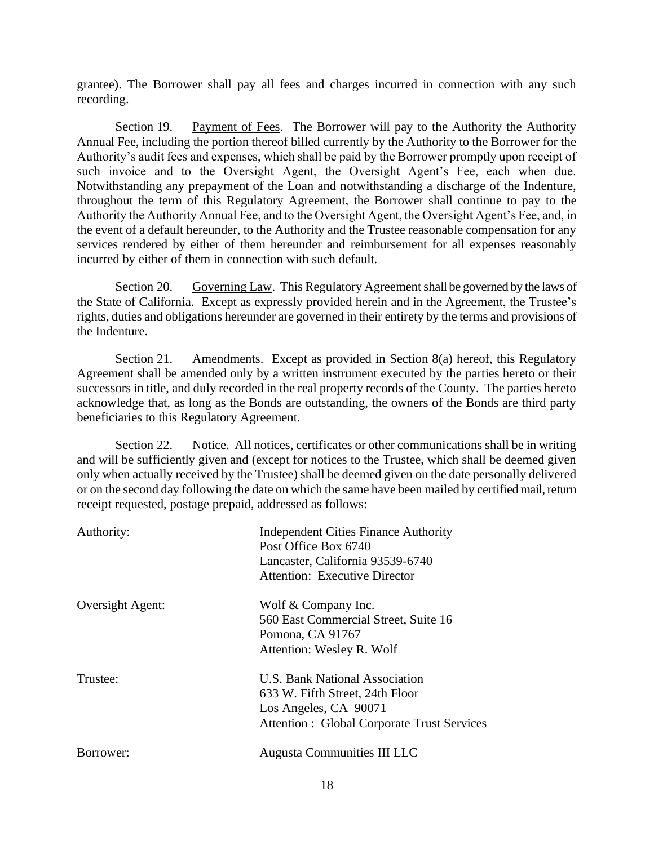grantee). The Borrower shall pay all fees and charges incurred in connection with any such recording.

Section 19. Payment of Fees. The Borrower will pay to the Authority the Authority Annual Fee, including the portion thereof billed currently by the Authority to the Borrower for the Authority's audit fees and expenses, which shall be paid by the Borrower promptly upon receipt of such invoice and to the Oversight Agent, the Oversight Agent's Fee, each when due. Notwithstanding any prepayment of the Loan and notwithstanding a discharge of the Indenture, throughout the term of this Regulatory Agreement, the Borrower shall continue to pay to the Authority the Authority Annual Fee, and to the Oversight Agent, the Oversight Agent's Fee, and, in the event of a default hereunder, to the Authority and the Trustee reasonable compensation for any services rendered by either of them hereunder and reimbursement for all expenses reasonably incurred by either of them in connection with such default.

Section 20. Governing Law. This Regulatory Agreement shall be governed by the laws of the State of California. Except as expressly provided herein and in the Agreement, the Trustee's rights, duties and obligations hereunder are governed in their entirety by the terms and provisions of the Indenture.

Section 21. Amendments. Except as provided in Section 8(a) hereof, this Regulatory Agreement shall be amended only by a written instrument executed by the parties hereto or their successors in title, and duly recorded in the real property records of the County. The parties hereto acknowledge that, as long as the Bonds are outstanding, the owners of the Bonds are third party beneficiaries to this Regulatory Agreement.

Section 22. Notice. All notices, certificates or other communications shall be in writing and will be sufficiently given and (except for notices to the Trustee, which shall be deemed given only when actually received by the Trustee) shall be deemed given on the date personally delivered or on the second day following the date on which the same have been mailed by certified mail, return receipt requested, postage prepaid, addressed as follows:

| Authority:       | Independent Cities Finance Authority<br>Post Office Box 6740<br>Lancaster, California 93539-6740<br><b>Attention: Executive Director</b>         |
|------------------|--------------------------------------------------------------------------------------------------------------------------------------------------|
| Oversight Agent: | Wolf & Company Inc.<br>560 East Commercial Street, Suite 16<br>Pomona, CA 91767<br>Attention: Wesley R. Wolf                                     |
| Trustee:         | U.S. Bank National Association<br>633 W. Fifth Street, 24th Floor<br>Los Angeles, CA 90071<br><b>Attention : Global Corporate Trust Services</b> |
| Borrower:        | <b>Augusta Communities III LLC</b>                                                                                                               |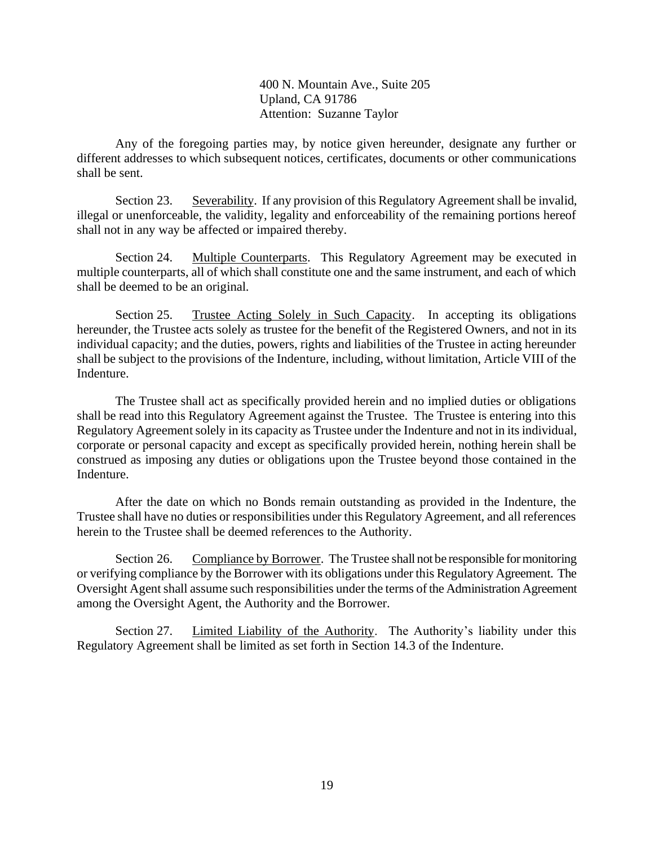400 N. Mountain Ave., Suite 205 Upland, CA 91786 Attention: Suzanne Taylor

Any of the foregoing parties may, by notice given hereunder, designate any further or different addresses to which subsequent notices, certificates, documents or other communications shall be sent.

Section 23. Severability. If any provision of this Regulatory Agreement shall be invalid, illegal or unenforceable, the validity, legality and enforceability of the remaining portions hereof shall not in any way be affected or impaired thereby.

Section 24. Multiple Counterparts. This Regulatory Agreement may be executed in multiple counterparts, all of which shall constitute one and the same instrument, and each of which shall be deemed to be an original.

Section 25. Trustee Acting Solely in Such Capacity. In accepting its obligations hereunder, the Trustee acts solely as trustee for the benefit of the Registered Owners, and not in its individual capacity; and the duties, powers, rights and liabilities of the Trustee in acting hereunder shall be subject to the provisions of the Indenture, including, without limitation, Article VIII of the Indenture.

The Trustee shall act as specifically provided herein and no implied duties or obligations shall be read into this Regulatory Agreement against the Trustee. The Trustee is entering into this Regulatory Agreement solely in its capacity as Trustee under the Indenture and not in its individual, corporate or personal capacity and except as specifically provided herein, nothing herein shall be construed as imposing any duties or obligations upon the Trustee beyond those contained in the Indenture.

After the date on which no Bonds remain outstanding as provided in the Indenture, the Trustee shall have no duties or responsibilities under this Regulatory Agreement, and all references herein to the Trustee shall be deemed references to the Authority.

Section 26. Compliance by Borrower. The Trustee shall not be responsible for monitoring or verifying compliance by the Borrower with its obligations under this Regulatory Agreement. The Oversight Agent shall assume such responsibilities under the terms of the Administration Agreement among the Oversight Agent, the Authority and the Borrower.

Section 27. Limited Liability of the Authority. The Authority's liability under this Regulatory Agreement shall be limited as set forth in Section 14.3 of the Indenture.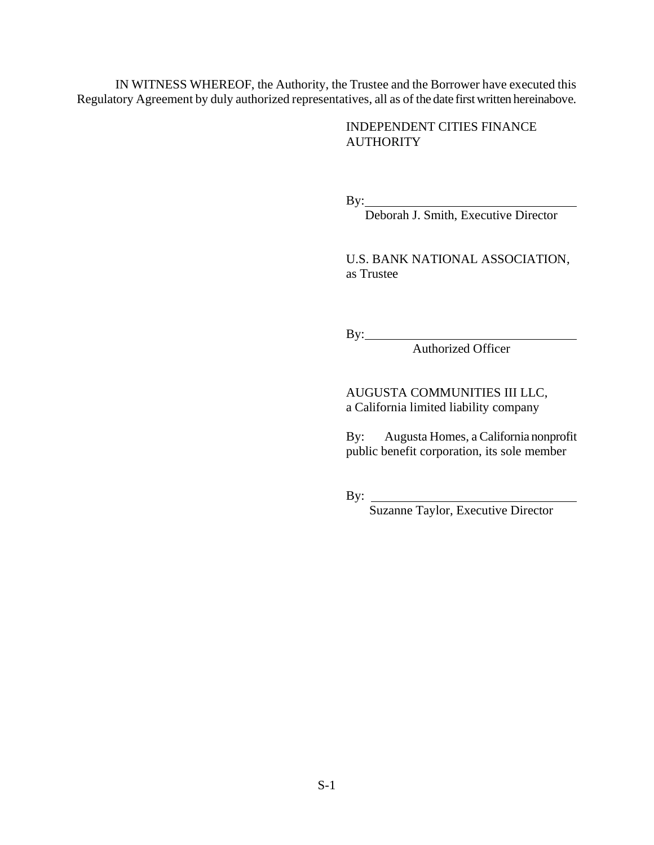IN WITNESS WHEREOF, the Authority, the Trustee and the Borrower have executed this Regulatory Agreement by duly authorized representatives, all as of the date first written hereinabove.

> INDEPENDENT CITIES FINANCE **AUTHORITY**

By:

Deborah J. Smith, Executive Director

U.S. BANK NATIONAL ASSOCIATION, as Trustee

By:

Authorized Officer

AUGUSTA COMMUNITIES III LLC, a California limited liability company

By: Augusta Homes, a California nonprofit public benefit corporation, its sole member

By:

Suzanne Taylor, Executive Director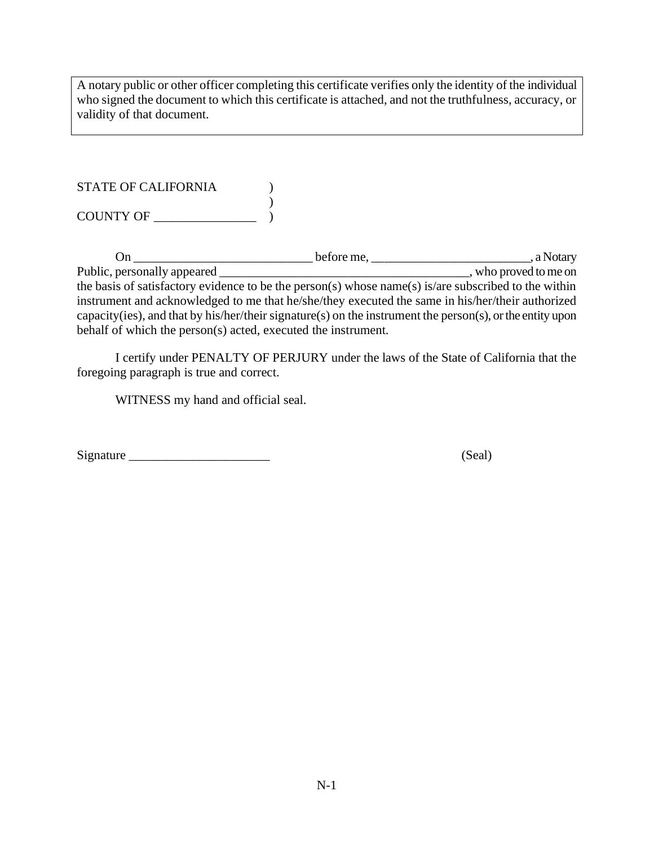A notary public or other officer completing this certificate verifies only the identity of the individual who signed the document to which this certificate is attached, and not the truthfulness, accuracy, or validity of that document.

| <b>STATE OF CALIFORNIA</b> |  |
|----------------------------|--|
|                            |  |
| <b>COUNTY OF</b>           |  |

On \_\_\_\_\_\_\_\_\_\_\_\_\_\_\_\_\_\_\_\_\_\_\_\_\_\_\_\_ before me, \_\_\_\_\_\_\_\_\_\_\_\_\_\_\_\_\_\_\_\_\_\_\_\_\_, a Notary Public, personally appeared \_\_\_\_\_\_\_\_\_\_\_\_\_\_\_\_\_\_\_\_\_\_\_\_\_\_\_\_\_\_\_\_\_\_\_\_\_\_\_, who proved to me on the basis of satisfactory evidence to be the person(s) whose name(s) is/are subscribed to the within instrument and acknowledged to me that he/she/they executed the same in his/her/their authorized capacity(ies), and that by his/her/their signature(s) on the instrument the person(s), or the entity upon behalf of which the person(s) acted, executed the instrument.

I certify under PENALTY OF PERJURY under the laws of the State of California that the foregoing paragraph is true and correct.

WITNESS my hand and official seal.

Signature \_\_\_\_\_\_\_\_\_\_\_\_\_\_\_\_\_\_\_\_\_\_ (Seal)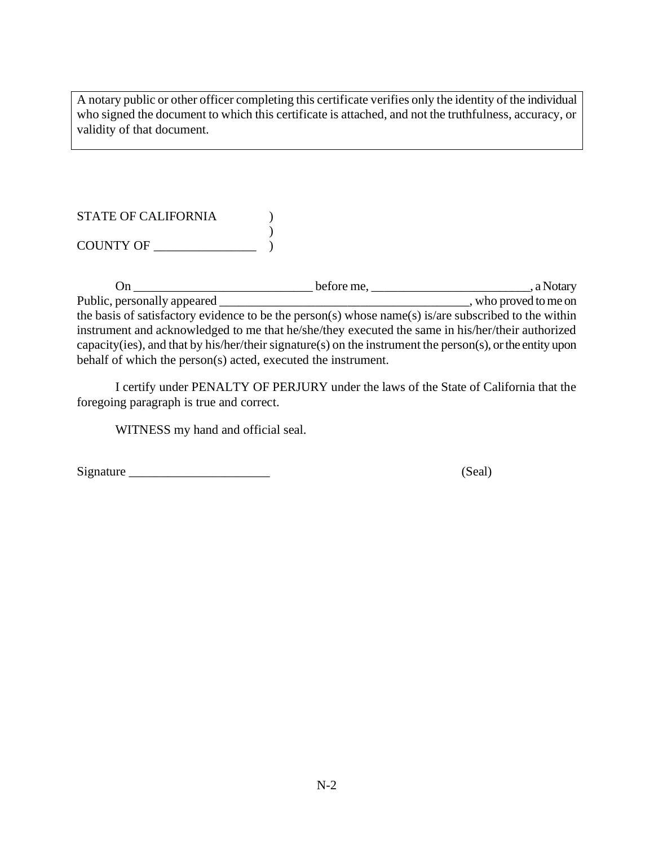A notary public or other officer completing this certificate verifies only the identity of the individual who signed the document to which this certificate is attached, and not the truthfulness, accuracy, or validity of that document.

| <b>STATE OF CALIFORNIA</b> |  |
|----------------------------|--|
|                            |  |
| <b>COUNTY OF</b>           |  |

On \_\_\_\_\_\_\_\_\_\_\_\_\_\_\_\_\_\_\_\_\_\_\_\_\_\_\_\_ before me, \_\_\_\_\_\_\_\_\_\_\_\_\_\_\_\_\_\_\_\_\_\_\_\_\_, a Notary Public, personally appeared \_\_\_\_\_\_\_\_\_\_\_\_\_\_\_\_\_\_\_\_\_\_\_\_\_\_\_\_\_\_\_\_\_\_\_\_\_\_\_, who proved to me on the basis of satisfactory evidence to be the person(s) whose name(s) is/are subscribed to the within instrument and acknowledged to me that he/she/they executed the same in his/her/their authorized capacity(ies), and that by his/her/their signature(s) on the instrument the person(s), or the entity upon behalf of which the person(s) acted, executed the instrument.

I certify under PENALTY OF PERJURY under the laws of the State of California that the foregoing paragraph is true and correct.

WITNESS my hand and official seal.

Signature \_\_\_\_\_\_\_\_\_\_\_\_\_\_\_\_\_\_\_\_\_\_ (Seal)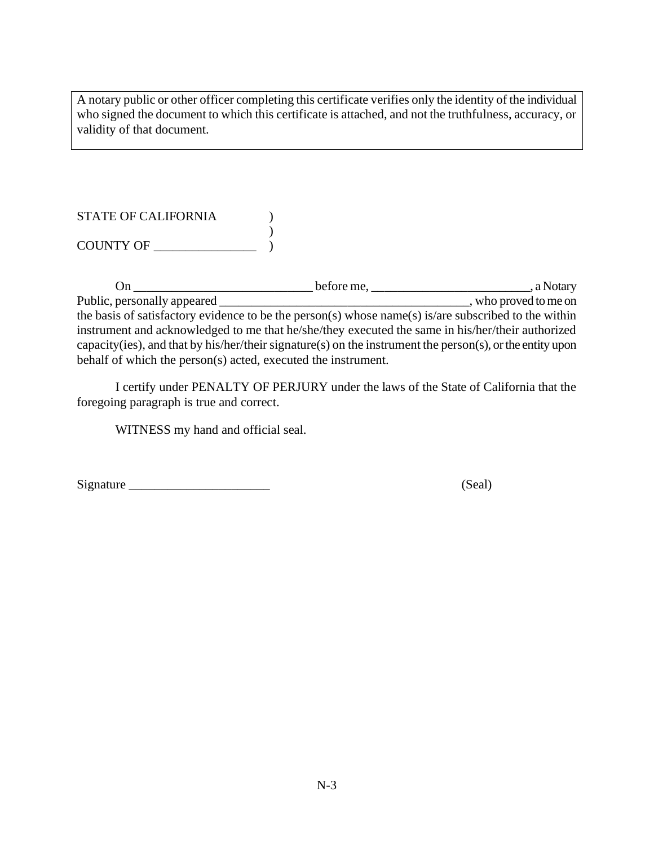A notary public or other officer completing this certificate verifies only the identity of the individual who signed the document to which this certificate is attached, and not the truthfulness, accuracy, or validity of that document.

| <b>STATE OF CALIFORNIA</b> |  |
|----------------------------|--|
|                            |  |
| <b>COUNTY OF</b>           |  |

On \_\_\_\_\_\_\_\_\_\_\_\_\_\_\_\_\_\_\_\_\_\_\_\_\_\_\_\_ before me, \_\_\_\_\_\_\_\_\_\_\_\_\_\_\_\_\_\_\_\_\_\_\_\_\_, a Notary Public, personally appeared \_\_\_\_\_\_\_\_\_\_\_\_\_\_\_\_\_\_\_\_\_\_\_\_\_\_\_\_\_\_\_\_\_\_\_\_\_\_\_, who proved to me on the basis of satisfactory evidence to be the person(s) whose name(s) is/are subscribed to the within instrument and acknowledged to me that he/she/they executed the same in his/her/their authorized capacity(ies), and that by his/her/their signature(s) on the instrument the person(s), or the entity upon behalf of which the person(s) acted, executed the instrument.

I certify under PENALTY OF PERJURY under the laws of the State of California that the foregoing paragraph is true and correct.

WITNESS my hand and official seal.

Signature \_\_\_\_\_\_\_\_\_\_\_\_\_\_\_\_\_\_\_\_\_\_ (Seal)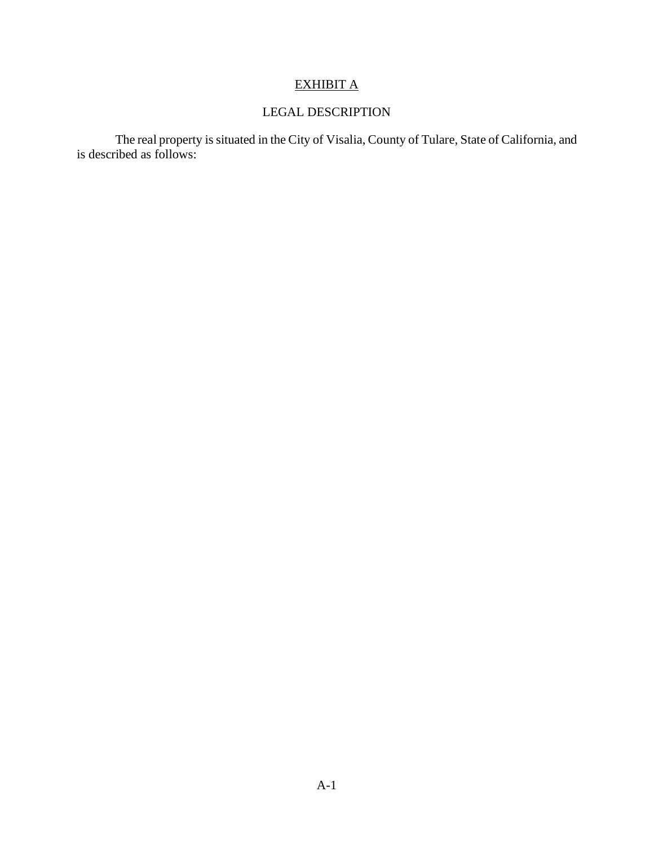# EXHIBIT A

## LEGAL DESCRIPTION

The real property is situated in the City of Visalia, County of Tulare, State of California, and is described as follows: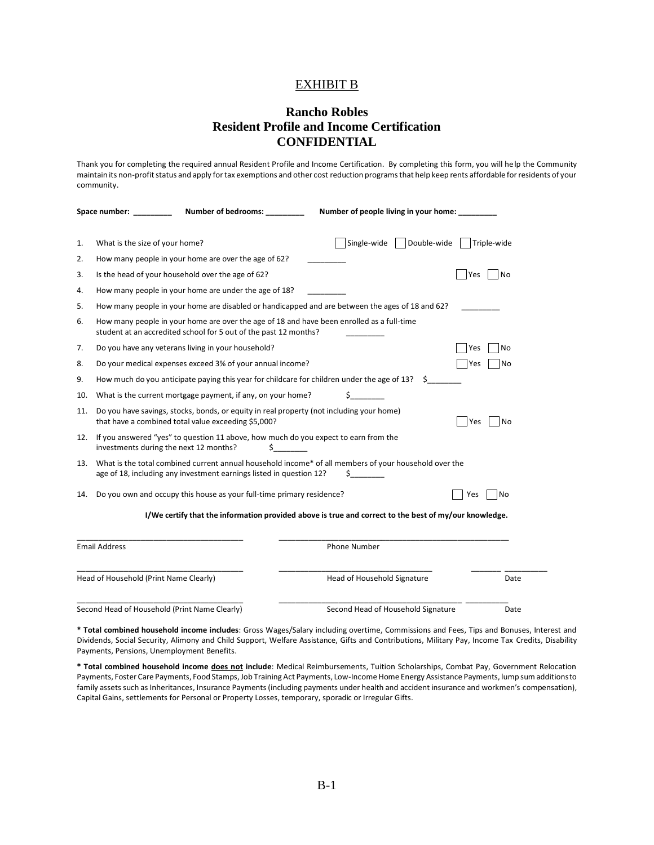#### EXHIBIT B

### **Rancho Robles Resident Profile and Income Certification CONFIDENTIAL**

Thank you for completing the required annual Resident Profile and Income Certification. By completing this form, you will help the Community maintain its non-profit status and apply for tax exemptions and other cost reduction programs that help keep rents affordable for residents of your community.

| Space number: |                                                                                                                                                               | <b>Number of bedrooms:</b>                                                                                                                      | Number of people living in your home:                                                                       |                  |  |
|---------------|---------------------------------------------------------------------------------------------------------------------------------------------------------------|-------------------------------------------------------------------------------------------------------------------------------------------------|-------------------------------------------------------------------------------------------------------------|------------------|--|
| 1.            | What is the size of your home?                                                                                                                                |                                                                                                                                                 | Double-wide<br>Single-wide                                                                                  | Triple-wide      |  |
| 2.            |                                                                                                                                                               | How many people in your home are over the age of 62?                                                                                            |                                                                                                             |                  |  |
| 3.            |                                                                                                                                                               | Is the head of your household over the age of 62?                                                                                               |                                                                                                             | <b>No</b><br>Yes |  |
| 4.            | How many people in your home are under the age of 18?                                                                                                         |                                                                                                                                                 |                                                                                                             |                  |  |
| 5.            | How many people in your home are disabled or handicapped and are between the ages of 18 and 62?                                                               |                                                                                                                                                 |                                                                                                             |                  |  |
| 6.            | How many people in your home are over the age of 18 and have been enrolled as a full-time<br>student at an accredited school for 5 out of the past 12 months? |                                                                                                                                                 |                                                                                                             |                  |  |
| 7.            |                                                                                                                                                               | Do you have any veterans living in your household?                                                                                              |                                                                                                             | <b>No</b><br>Yes |  |
| 8.            |                                                                                                                                                               | Do your medical expenses exceed 3% of your annual income?                                                                                       |                                                                                                             | <b>No</b><br>Yes |  |
| 9.            |                                                                                                                                                               | How much do you anticipate paying this year for childcare for children under the age of 13?                                                     |                                                                                                             |                  |  |
| 10.           |                                                                                                                                                               | What is the current mortgage payment, if any, on your home?                                                                                     | \$                                                                                                          |                  |  |
| 11.           |                                                                                                                                                               | Do you have savings, stocks, bonds, or equity in real property (not including your home)<br>that have a combined total value exceeding \$5,000? |                                                                                                             | No<br>Yes        |  |
| 12.           | If you answered "yes" to question 11 above, how much do you expect to earn from the<br>investments during the next 12 months?<br>\$.                          |                                                                                                                                                 |                                                                                                             |                  |  |
| 13.           |                                                                                                                                                               | age of 18, including any investment earnings listed in question 12?                                                                             | What is the total combined current annual household income* of all members of your household over the<br>S. |                  |  |
| 14.           |                                                                                                                                                               | Do you own and occupy this house as your full-time primary residence?                                                                           | Yes                                                                                                         | <b>INo</b>       |  |
|               |                                                                                                                                                               |                                                                                                                                                 | I/We certify that the information provided above is true and correct to the best of my/our knowledge.       |                  |  |
|               | <b>Email Address</b>                                                                                                                                          |                                                                                                                                                 | Phone Number                                                                                                |                  |  |
|               | Head of Household (Print Name Clearly)                                                                                                                        |                                                                                                                                                 | Head of Household Signature                                                                                 | Date             |  |
|               |                                                                                                                                                               | Second Head of Household (Print Name Clearly)                                                                                                   | Second Head of Household Signature                                                                          | Date             |  |

**\* Total combined household income includes**: Gross Wages/Salary including overtime, Commissions and Fees, Tips and Bonuses, Interest and Dividends, Social Security, Alimony and Child Support, Welfare Assistance, Gifts and Contributions, Military Pay, Income Tax Credits, Disability Payments, Pensions, Unemployment Benefits.

**\* Total combined household income does not include**: Medical Reimbursements, Tuition Scholarships, Combat Pay, Government Relocation Payments, Foster Care Payments, Food Stamps, Job Training Act Payments, Low-Income Home Energy Assistance Payments, lump sum additions to family assets such as Inheritances, Insurance Payments (including payments under health and accident insurance and workmen's compensation), Capital Gains, settlements for Personal or Property Losses, temporary, sporadic or Irregular Gifts.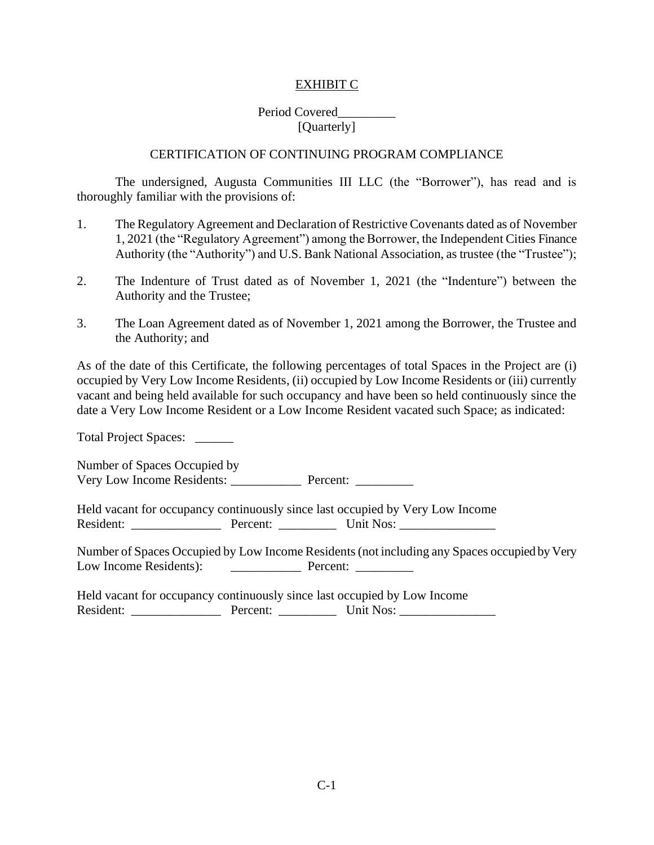## EXHIBIT C

## Period Covered\_\_\_\_\_\_\_\_\_ [Quarterly]

#### CERTIFICATION OF CONTINUING PROGRAM COMPLIANCE

The undersigned, Augusta Communities III LLC (the "Borrower"), has read and is thoroughly familiar with the provisions of:

- 1. The Regulatory Agreement and Declaration of Restrictive Covenants dated as of November 1, 2021 (the "Regulatory Agreement") among the Borrower, the Independent Cities Finance Authority (the "Authority") and U.S. Bank National Association, as trustee (the "Trustee");
- 2. The Indenture of Trust dated as of November 1, 2021 (the "Indenture") between the Authority and the Trustee;
- 3. The Loan Agreement dated as of November 1, 2021 among the Borrower, the Trustee and the Authority; and

As of the date of this Certificate, the following percentages of total Spaces in the Project are (i) occupied by Very Low Income Residents, (ii) occupied by Low Income Residents or (iii) currently vacant and being held available for such occupancy and have been so held continuously since the date a Very Low Income Resident or a Low Income Resident vacated such Space; as indicated:

Total Project Spaces: \_\_\_\_\_\_

Number of Spaces Occupied by Very Low Income Residents: \_\_\_\_\_\_\_\_\_\_\_ Percent: \_\_\_\_\_\_\_\_\_

Held vacant for occupancy continuously since last occupied by Very Low Income Resident: \_\_\_\_\_\_\_\_\_\_\_\_\_\_ Percent: \_\_\_\_\_\_\_\_\_ Unit Nos: \_\_\_\_\_\_\_\_\_\_\_\_\_\_\_

Number of Spaces Occupied by Low Income Residents (not including any Spaces occupied by Very Low Income Residents): \_\_\_\_\_\_\_\_\_\_\_ Percent: \_\_\_\_\_\_\_\_\_

Held vacant for occupancy continuously since last occupied by Low Income Resident: \_\_\_\_\_\_\_\_\_\_\_\_\_\_\_\_\_\_\_\_\_\_\_ Percent: \_\_\_\_\_\_\_\_\_\_\_\_\_\_\_\_\_\_\_ Unit Nos: \_\_\_\_\_\_\_\_\_\_\_\_\_\_\_\_\_\_\_\_\_\_\_\_\_\_